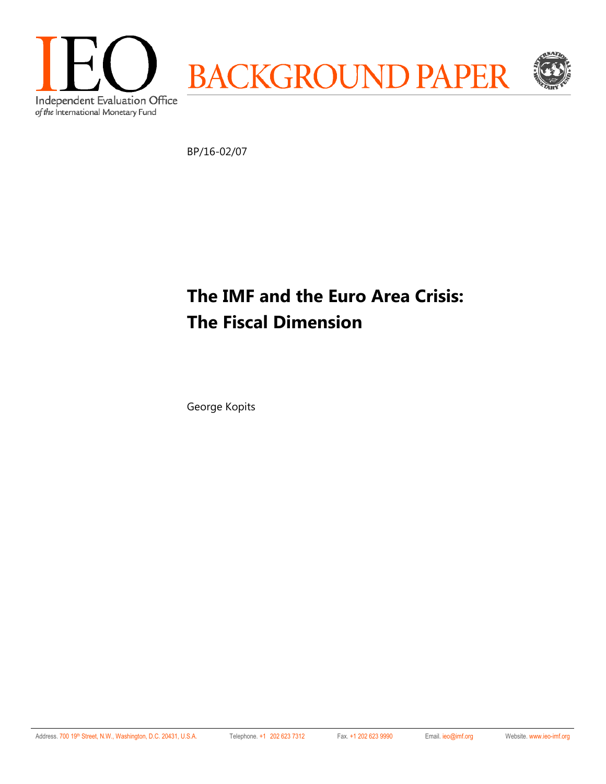

BP/16-02/07

# **The IMF and the Euro Area Crisis: The Fiscal Dimension**

George Kopits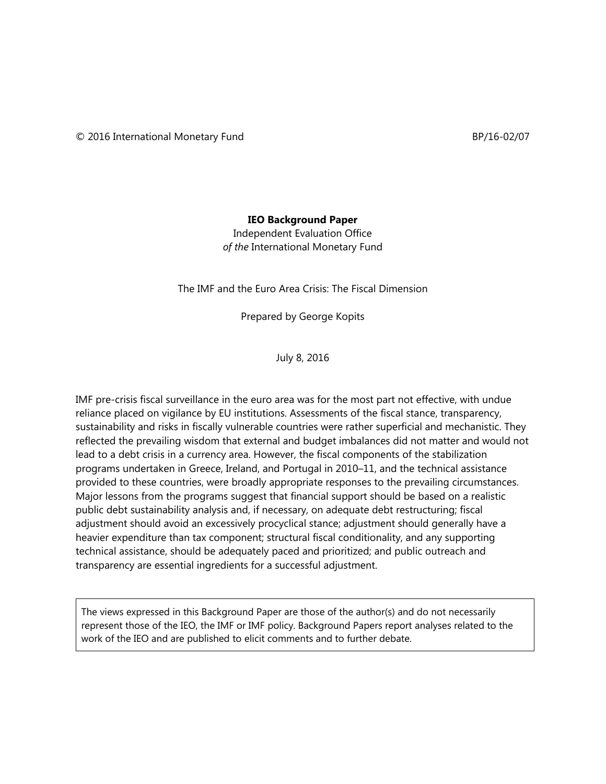## **IEO Background Paper**

Independent Evaluation Office *of the* International Monetary Fund

The IMF and the Euro Area Crisis: The Fiscal Dimension

Prepared by George Kopits

July 8, 2016

IMF pre-crisis fiscal surveillance in the euro area was for the most part not effective, with undue reliance placed on vigilance by EU institutions. Assessments of the fiscal stance, transparency, sustainability and risks in fiscally vulnerable countries were rather superficial and mechanistic. They reflected the prevailing wisdom that external and budget imbalances did not matter and would not lead to a debt crisis in a currency area. However, the fiscal components of the stabilization programs undertaken in Greece, Ireland, and Portugal in 2010–11, and the technical assistance provided to these countries, were broadly appropriate responses to the prevailing circumstances. Major lessons from the programs suggest that financial support should be based on a realistic public debt sustainability analysis and, if necessary, on adequate debt restructuring; fiscal adjustment should avoid an excessively procyclical stance; adjustment should generally have a heavier expenditure than tax component; structural fiscal conditionality, and any supporting technical assistance, should be adequately paced and prioritized; and public outreach and transparency are essential ingredients for a successful adjustment.

The views expressed in this Background Paper are those of the author(s) and do not necessarily represent those of the IEO, the IMF or IMF policy. Background Papers report analyses related to the work of the IEO and are published to elicit comments and to further debate.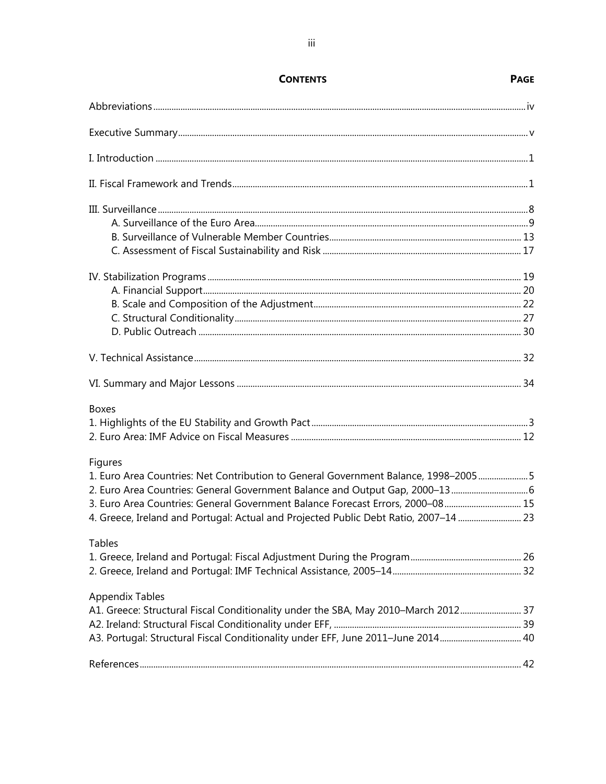| <b>Boxes</b>                                                                         |  |
|--------------------------------------------------------------------------------------|--|
|                                                                                      |  |
|                                                                                      |  |
| <b>Figures</b>                                                                       |  |
| 1. Euro Area Countries: Net Contribution to General Government Balance, 1998-20055   |  |
| 2. Euro Area Countries: General Government Balance and Output Gap, 2000-13 6         |  |
| 3. Euro Area Countries: General Government Balance Forecast Errors, 2000-08 15       |  |
| 4. Greece, Ireland and Portugal: Actual and Projected Public Debt Ratio, 2007-14  23 |  |
| <b>Tables</b>                                                                        |  |
|                                                                                      |  |
|                                                                                      |  |
| <b>Appendix Tables</b>                                                               |  |
| A1. Greece: Structural Fiscal Conditionality under the SBA, May 2010-March 2012 37   |  |
|                                                                                      |  |
| A3. Portugal: Structural Fiscal Conditionality under EFF, June 2011-June 2014 40     |  |
|                                                                                      |  |

## **CONTENTS**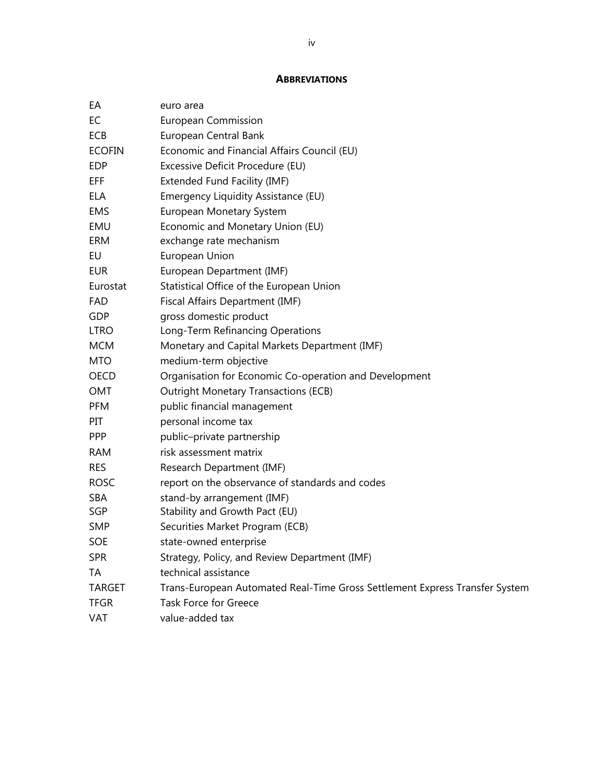#### **ABBREVIATIONS**

| EA            | euro area                                                                   |
|---------------|-----------------------------------------------------------------------------|
| EC            | European Commission                                                         |
| ECB           | European Central Bank                                                       |
| <b>ECOFIN</b> | Economic and Financial Affairs Council (EU)                                 |
| <b>EDP</b>    | Excessive Deficit Procedure (EU)                                            |
| EFF           | Extended Fund Facility (IMF)                                                |
| <b>ELA</b>    | Emergency Liquidity Assistance (EU)                                         |
| <b>EMS</b>    | European Monetary System                                                    |
| EMU           | Economic and Monetary Union (EU)                                            |
| ERM           | exchange rate mechanism                                                     |
| EU            | European Union                                                              |
| <b>EUR</b>    | European Department (IMF)                                                   |
| Eurostat      | Statistical Office of the European Union                                    |
| <b>FAD</b>    | Fiscal Affairs Department (IMF)                                             |
| <b>GDP</b>    | gross domestic product                                                      |
| <b>LTRO</b>   | Long-Term Refinancing Operations                                            |
| <b>MCM</b>    | Monetary and Capital Markets Department (IMF)                               |
| <b>MTO</b>    | medium-term objective                                                       |
| <b>OECD</b>   | Organisation for Economic Co-operation and Development                      |
| OMT           | <b>Outright Monetary Transactions (ECB)</b>                                 |
| <b>PFM</b>    | public financial management                                                 |
| PIT           | personal income tax                                                         |
| <b>PPP</b>    | public-private partnership                                                  |
| <b>RAM</b>    | risk assessment matrix                                                      |
| <b>RES</b>    | Research Department (IMF)                                                   |
| <b>ROSC</b>   | report on the observance of standards and codes                             |
| SBA           | stand-by arrangement (IMF)                                                  |
| SGP           | Stability and Growth Pact (EU)                                              |
| <b>SMP</b>    | Securities Market Program (ECB)                                             |
| SOE           | state-owned enterprise                                                      |
| <b>SPR</b>    | Strategy, Policy, and Review Department (IMF)                               |
| ТA            | technical assistance                                                        |
| <b>TARGET</b> | Trans-European Automated Real-Time Gross Settlement Express Transfer System |
| <b>TFGR</b>   | <b>Task Force for Greece</b>                                                |
| VAT           | value-added tax                                                             |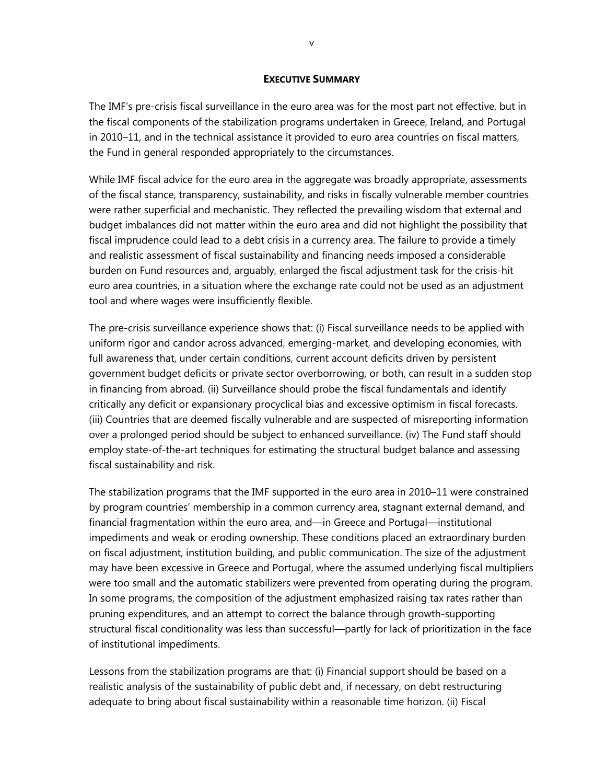#### **EXECUTIVE SUMMARY**

The IMF's pre-crisis fiscal surveillance in the euro area was for the most part not effective, but in the fiscal components of the stabilization programs undertaken in Greece, Ireland, and Portugal in 2010–11, and in the technical assistance it provided to euro area countries on fiscal matters, the Fund in general responded appropriately to the circumstances.

While IMF fiscal advice for the euro area in the aggregate was broadly appropriate, assessments of the fiscal stance, transparency, sustainability, and risks in fiscally vulnerable member countries were rather superficial and mechanistic. They reflected the prevailing wisdom that external and budget imbalances did not matter within the euro area and did not highlight the possibility that fiscal imprudence could lead to a debt crisis in a currency area. The failure to provide a timely and realistic assessment of fiscal sustainability and financing needs imposed a considerable burden on Fund resources and, arguably, enlarged the fiscal adjustment task for the crisis-hit euro area countries, in a situation where the exchange rate could not be used as an adjustment tool and where wages were insufficiently flexible.

The pre-crisis surveillance experience shows that: (i) Fiscal surveillance needs to be applied with uniform rigor and candor across advanced, emerging-market, and developing economies, with full awareness that, under certain conditions, current account deficits driven by persistent government budget deficits or private sector overborrowing, or both, can result in a sudden stop in financing from abroad. (ii) Surveillance should probe the fiscal fundamentals and identify critically any deficit or expansionary procyclical bias and excessive optimism in fiscal forecasts. (iii) Countries that are deemed fiscally vulnerable and are suspected of misreporting information over a prolonged period should be subject to enhanced surveillance. (iv) The Fund staff should employ state-of-the-art techniques for estimating the structural budget balance and assessing fiscal sustainability and risk.

The stabilization programs that the IMF supported in the euro area in 2010–11 were constrained by program countries' membership in a common currency area, stagnant external demand, and financial fragmentation within the euro area, and—in Greece and Portugal—institutional impediments and weak or eroding ownership. These conditions placed an extraordinary burden on fiscal adjustment, institution building, and public communication. The size of the adjustment may have been excessive in Greece and Portugal, where the assumed underlying fiscal multipliers were too small and the automatic stabilizers were prevented from operating during the program. In some programs, the composition of the adjustment emphasized raising tax rates rather than pruning expenditures, and an attempt to correct the balance through growth-supporting structural fiscal conditionality was less than successful—partly for lack of prioritization in the face of institutional impediments.

Lessons from the stabilization programs are that: (i) Financial support should be based on a realistic analysis of the sustainability of public debt and, if necessary, on debt restructuring adequate to bring about fiscal sustainability within a reasonable time horizon. (ii) Fiscal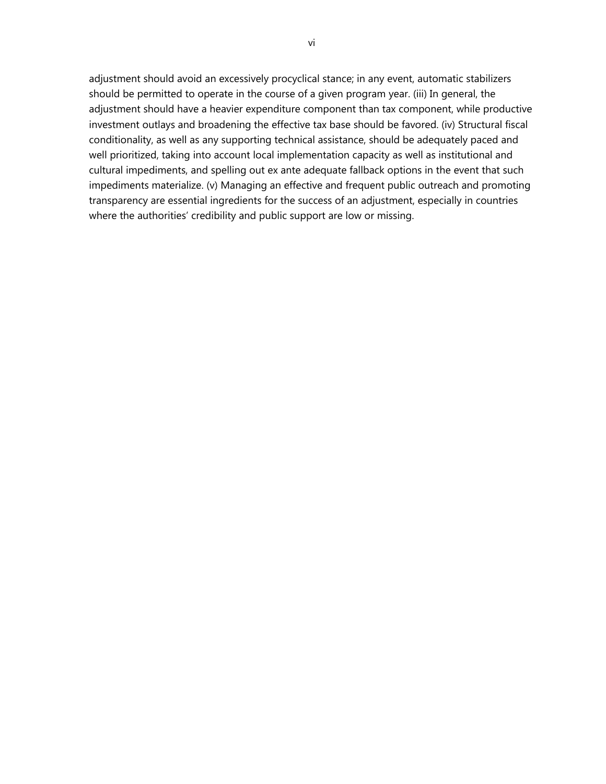adjustment should avoid an excessively procyclical stance; in any event, automatic stabilizers should be permitted to operate in the course of a given program year. (iii) In general, the adjustment should have a heavier expenditure component than tax component, while productive investment outlays and broadening the effective tax base should be favored. (iv) Structural fiscal conditionality, as well as any supporting technical assistance, should be adequately paced and well prioritized, taking into account local implementation capacity as well as institutional and cultural impediments, and spelling out ex ante adequate fallback options in the event that such impediments materialize. (v) Managing an effective and frequent public outreach and promoting transparency are essential ingredients for the success of an adjustment, especially in countries where the authorities' credibility and public support are low or missing.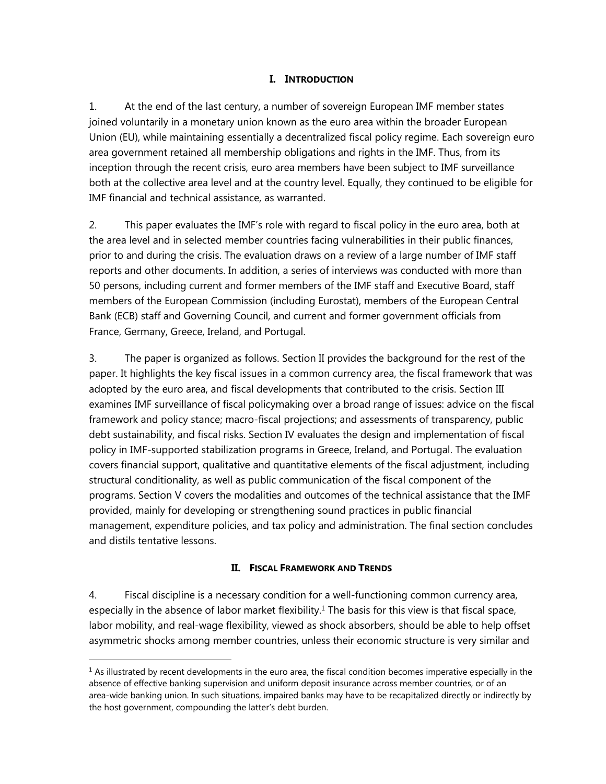## **I. INTRODUCTION**

1. At the end of the last century, a number of sovereign European IMF member states joined voluntarily in a monetary union known as the euro area within the broader European Union (EU), while maintaining essentially a decentralized fiscal policy regime. Each sovereign euro area government retained all membership obligations and rights in the IMF. Thus, from its inception through the recent crisis, euro area members have been subject to IMF surveillance both at the collective area level and at the country level. Equally, they continued to be eligible for IMF financial and technical assistance, as warranted.

2. This paper evaluates the IMF's role with regard to fiscal policy in the euro area, both at the area level and in selected member countries facing vulnerabilities in their public finances, prior to and during the crisis. The evaluation draws on a review of a large number of IMF staff reports and other documents. In addition, a series of interviews was conducted with more than 50 persons, including current and former members of the IMF staff and Executive Board, staff members of the European Commission (including Eurostat), members of the European Central Bank (ECB) staff and Governing Council, and current and former government officials from France, Germany, Greece, Ireland, and Portugal.

3. The paper is organized as follows. Section II provides the background for the rest of the paper. It highlights the key fiscal issues in a common currency area, the fiscal framework that was adopted by the euro area, and fiscal developments that contributed to the crisis. Section III examines IMF surveillance of fiscal policymaking over a broad range of issues: advice on the fiscal framework and policy stance; macro-fiscal projections; and assessments of transparency, public debt sustainability, and fiscal risks. Section IV evaluates the design and implementation of fiscal policy in IMF-supported stabilization programs in Greece, Ireland, and Portugal. The evaluation covers financial support, qualitative and quantitative elements of the fiscal adjustment, including structural conditionality, as well as public communication of the fiscal component of the programs. Section V covers the modalities and outcomes of the technical assistance that the IMF provided, mainly for developing or strengthening sound practices in public financial management, expenditure policies, and tax policy and administration. The final section concludes and distils tentative lessons.

## **II. FISCAL FRAMEWORK AND TRENDS**

4. Fiscal discipline is a necessary condition for a well-functioning common currency area, especially in the absence of labor market flexibility.<sup>1</sup> The basis for this view is that fiscal space, labor mobility, and real-wage flexibility, viewed as shock absorbers, should be able to help offset asymmetric shocks among member countries, unless their economic structure is very similar and

 $<sup>1</sup>$  As illustrated by recent developments in the euro area, the fiscal condition becomes imperative especially in the</sup> absence of effective banking supervision and uniform deposit insurance across member countries, or of an area-wide banking union. In such situations, impaired banks may have to be recapitalized directly or indirectly by the host government, compounding the latter's debt burden.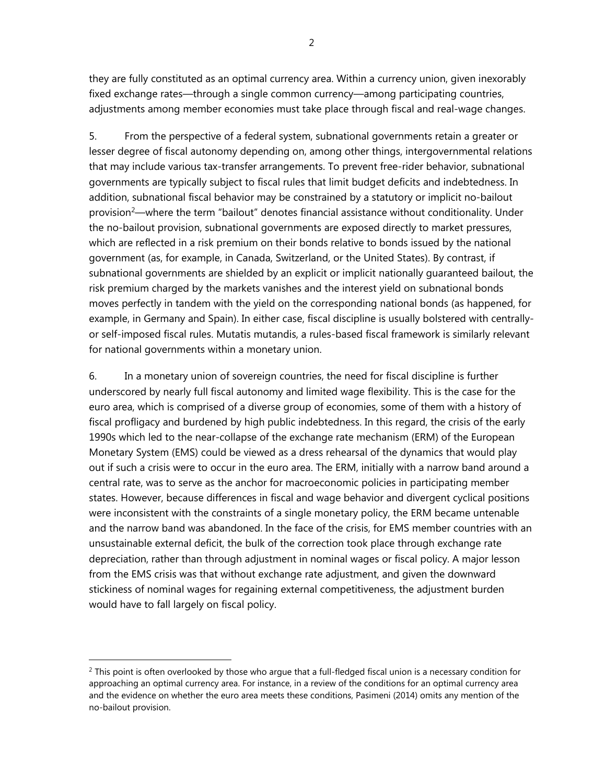they are fully constituted as an optimal currency area. Within a currency union, given inexorably fixed exchange rates—through a single common currency—among participating countries, adjustments among member economies must take place through fiscal and real-wage changes.

5. From the perspective of a federal system, subnational governments retain a greater or lesser degree of fiscal autonomy depending on, among other things, intergovernmental relations that may include various tax-transfer arrangements. To prevent free-rider behavior, subnational governments are typically subject to fiscal rules that limit budget deficits and indebtedness. In addition, subnational fiscal behavior may be constrained by a statutory or implicit no-bailout provision<sup>2</sup>—where the term "bailout" denotes financial assistance without conditionality. Under the no-bailout provision, subnational governments are exposed directly to market pressures, which are reflected in a risk premium on their bonds relative to bonds issued by the national government (as, for example, in Canada, Switzerland, or the United States). By contrast, if subnational governments are shielded by an explicit or implicit nationally guaranteed bailout, the risk premium charged by the markets vanishes and the interest yield on subnational bonds moves perfectly in tandem with the yield on the corresponding national bonds (as happened, for example, in Germany and Spain). In either case, fiscal discipline is usually bolstered with centrallyor self-imposed fiscal rules. Mutatis mutandis, a rules-based fiscal framework is similarly relevant for national governments within a monetary union.

6. In a monetary union of sovereign countries, the need for fiscal discipline is further underscored by nearly full fiscal autonomy and limited wage flexibility. This is the case for the euro area, which is comprised of a diverse group of economies, some of them with a history of fiscal profligacy and burdened by high public indebtedness. In this regard, the crisis of the early 1990s which led to the near-collapse of the exchange rate mechanism (ERM) of the European Monetary System (EMS) could be viewed as a dress rehearsal of the dynamics that would play out if such a crisis were to occur in the euro area. The ERM, initially with a narrow band around a central rate, was to serve as the anchor for macroeconomic policies in participating member states. However, because differences in fiscal and wage behavior and divergent cyclical positions were inconsistent with the constraints of a single monetary policy, the ERM became untenable and the narrow band was abandoned. In the face of the crisis, for EMS member countries with an unsustainable external deficit, the bulk of the correction took place through exchange rate depreciation, rather than through adjustment in nominal wages or fiscal policy. A major lesson from the EMS crisis was that without exchange rate adjustment, and given the downward stickiness of nominal wages for regaining external competitiveness, the adjustment burden would have to fall largely on fiscal policy.

 $<sup>2</sup>$  This point is often overlooked by those who argue that a full-fledged fiscal union is a necessary condition for</sup> approaching an optimal currency area. For instance, in a review of the conditions for an optimal currency area and the evidence on whether the euro area meets these conditions, Pasimeni (2014) omits any mention of the no-bailout provision.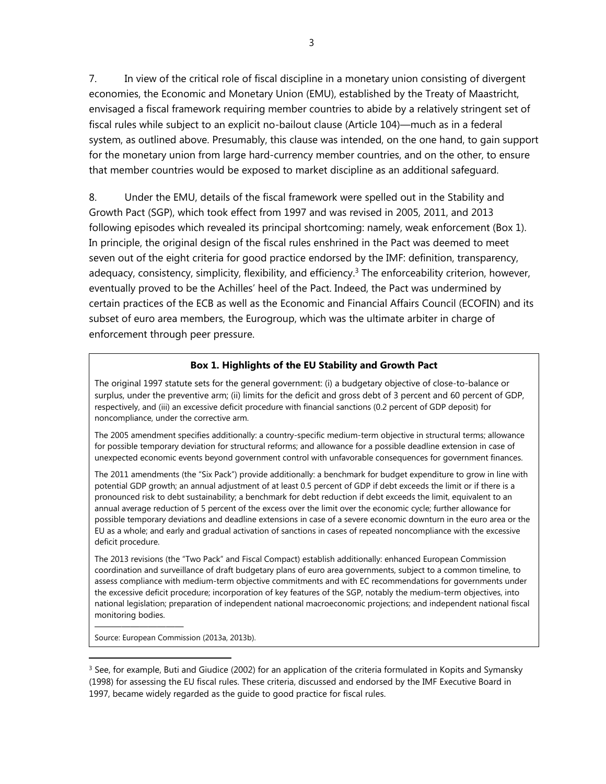7. In view of the critical role of fiscal discipline in a monetary union consisting of divergent economies, the Economic and Monetary Union (EMU), established by the Treaty of Maastricht, envisaged a fiscal framework requiring member countries to abide by a relatively stringent set of fiscal rules while subject to an explicit no-bailout clause (Article 104)—much as in a federal system, as outlined above. Presumably, this clause was intended, on the one hand, to gain support for the monetary union from large hard-currency member countries, and on the other, to ensure that member countries would be exposed to market discipline as an additional safeguard.

8. Under the EMU, details of the fiscal framework were spelled out in the Stability and Growth Pact (SGP), which took effect from 1997 and was revised in 2005, 2011, and 2013 following episodes which revealed its principal shortcoming: namely, weak enforcement (Box 1). In principle, the original design of the fiscal rules enshrined in the Pact was deemed to meet seven out of the eight criteria for good practice endorsed by the IMF: definition, transparency, adequacy, consistency, simplicity, flexibility, and efficiency.<sup>3</sup> The enforceability criterion, however, eventually proved to be the Achilles' heel of the Pact. Indeed, the Pact was undermined by certain practices of the ECB as well as the Economic and Financial Affairs Council (ECOFIN) and its subset of euro area members, the Eurogroup, which was the ultimate arbiter in charge of enforcement through peer pressure.

#### **Box 1. Highlights of the EU Stability and Growth Pact**

The original 1997 statute sets for the general government: (i) a budgetary objective of close-to-balance or surplus, under the preventive arm; (ii) limits for the deficit and gross debt of 3 percent and 60 percent of GDP, respectively, and (iii) an excessive deficit procedure with financial sanctions (0.2 percent of GDP deposit) for noncompliance, under the corrective arm.

The 2005 amendment specifies additionally: a country-specific medium-term objective in structural terms; allowance for possible temporary deviation for structural reforms; and allowance for a possible deadline extension in case of unexpected economic events beyond government control with unfavorable consequences for government finances.

The 2011 amendments (the "Six Pack") provide additionally: a benchmark for budget expenditure to grow in line with potential GDP growth; an annual adjustment of at least 0.5 percent of GDP if debt exceeds the limit or if there is a pronounced risk to debt sustainability; a benchmark for debt reduction if debt exceeds the limit, equivalent to an annual average reduction of 5 percent of the excess over the limit over the economic cycle; further allowance for possible temporary deviations and deadline extensions in case of a severe economic downturn in the euro area or the EU as a whole; and early and gradual activation of sanctions in cases of repeated noncompliance with the excessive deficit procedure.

The 2013 revisions (the "Two Pack" and Fiscal Compact) establish additionally: enhanced European Commission coordination and surveillance of draft budgetary plans of euro area governments, subject to a common timeline, to assess compliance with medium-term objective commitments and with EC recommendations for governments under the excessive deficit procedure; incorporation of key features of the SGP, notably the medium-term objectives, into national legislation; preparation of independent national macroeconomic projections; and independent national fiscal monitoring bodies.

Source: European Commission (2013a, 2013b).

——————————

<sup>&</sup>lt;sup>3</sup> See, for example, Buti and Giudice (2002) for an application of the criteria formulated in Kopits and Symansky (1998) for assessing the EU fiscal rules. These criteria, discussed and endorsed by the IMF Executive Board in 1997, became widely regarded as the guide to good practice for fiscal rules.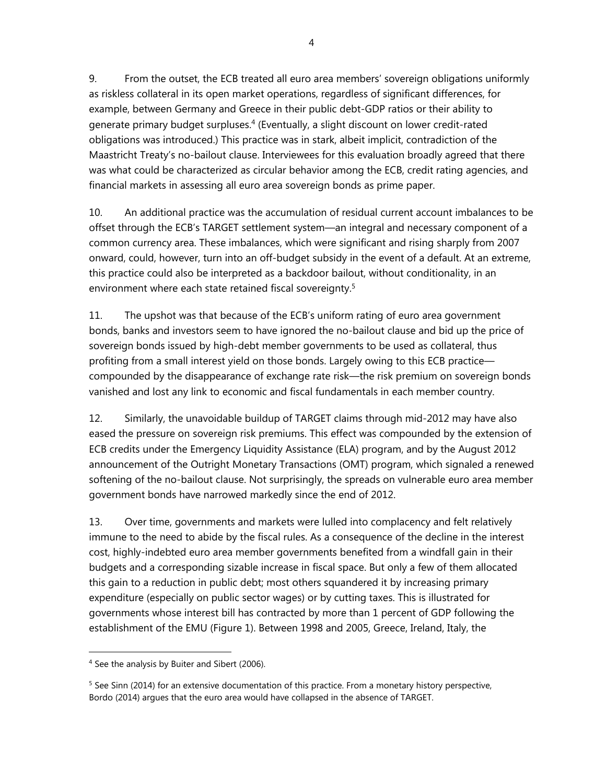9. From the outset, the ECB treated all euro area members' sovereign obligations uniformly as riskless collateral in its open market operations, regardless of significant differences, for example, between Germany and Greece in their public debt-GDP ratios or their ability to generate primary budget surpluses.4 (Eventually, a slight discount on lower credit-rated obligations was introduced.) This practice was in stark, albeit implicit, contradiction of the Maastricht Treaty's no-bailout clause. Interviewees for this evaluation broadly agreed that there was what could be characterized as circular behavior among the ECB, credit rating agencies, and financial markets in assessing all euro area sovereign bonds as prime paper.

10. An additional practice was the accumulation of residual current account imbalances to be offset through the ECB's TARGET settlement system—an integral and necessary component of a common currency area. These imbalances, which were significant and rising sharply from 2007 onward, could, however, turn into an off-budget subsidy in the event of a default. At an extreme, this practice could also be interpreted as a backdoor bailout, without conditionality, in an environment where each state retained fiscal sovereignty.<sup>5</sup>

11. The upshot was that because of the ECB's uniform rating of euro area government bonds, banks and investors seem to have ignored the no-bailout clause and bid up the price of sovereign bonds issued by high-debt member governments to be used as collateral, thus profiting from a small interest yield on those bonds. Largely owing to this ECB practice compounded by the disappearance of exchange rate risk—the risk premium on sovereign bonds vanished and lost any link to economic and fiscal fundamentals in each member country.

12. Similarly, the unavoidable buildup of TARGET claims through mid-2012 may have also eased the pressure on sovereign risk premiums. This effect was compounded by the extension of ECB credits under the Emergency Liquidity Assistance (ELA) program, and by the August 2012 announcement of the Outright Monetary Transactions (OMT) program, which signaled a renewed softening of the no-bailout clause. Not surprisingly, the spreads on vulnerable euro area member government bonds have narrowed markedly since the end of 2012.

13. Over time, governments and markets were lulled into complacency and felt relatively immune to the need to abide by the fiscal rules. As a consequence of the decline in the interest cost, highly-indebted euro area member governments benefited from a windfall gain in their budgets and a corresponding sizable increase in fiscal space. But only a few of them allocated this gain to a reduction in public debt; most others squandered it by increasing primary expenditure (especially on public sector wages) or by cutting taxes. This is illustrated for governments whose interest bill has contracted by more than 1 percent of GDP following the establishment of the EMU (Figure 1). Between 1998 and 2005, Greece, Ireland, Italy, the

 $\overline{a}$ <sup>4</sup> See the analysis by Buiter and Sibert (2006).

<sup>&</sup>lt;sup>5</sup> See Sinn (2014) for an extensive documentation of this practice. From a monetary history perspective, Bordo (2014) argues that the euro area would have collapsed in the absence of TARGET.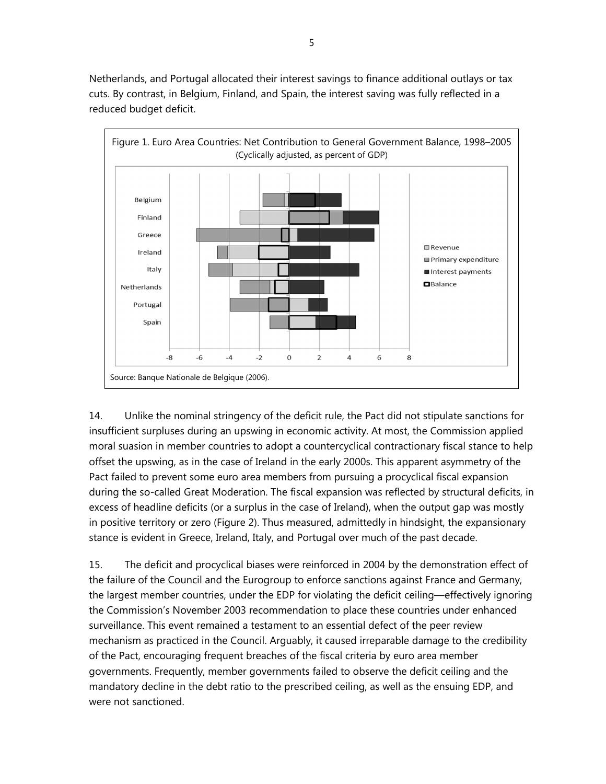Netherlands, and Portugal allocated their interest savings to finance additional outlays or tax cuts. By contrast, in Belgium, Finland, and Spain, the interest saving was fully reflected in a reduced budget deficit.



14. Unlike the nominal stringency of the deficit rule, the Pact did not stipulate sanctions for insufficient surpluses during an upswing in economic activity. At most, the Commission applied moral suasion in member countries to adopt a countercyclical contractionary fiscal stance to help offset the upswing, as in the case of Ireland in the early 2000s. This apparent asymmetry of the Pact failed to prevent some euro area members from pursuing a procyclical fiscal expansion during the so-called Great Moderation. The fiscal expansion was reflected by structural deficits, in excess of headline deficits (or a surplus in the case of Ireland), when the output gap was mostly in positive territory or zero (Figure 2). Thus measured, admittedly in hindsight, the expansionary stance is evident in Greece, Ireland, Italy, and Portugal over much of the past decade.

15. The deficit and procyclical biases were reinforced in 2004 by the demonstration effect of the failure of the Council and the Eurogroup to enforce sanctions against France and Germany, the largest member countries, under the EDP for violating the deficit ceiling—effectively ignoring the Commission's November 2003 recommendation to place these countries under enhanced surveillance. This event remained a testament to an essential defect of the peer review mechanism as practiced in the Council. Arguably, it caused irreparable damage to the credibility of the Pact, encouraging frequent breaches of the fiscal criteria by euro area member governments. Frequently, member governments failed to observe the deficit ceiling and the mandatory decline in the debt ratio to the prescribed ceiling, as well as the ensuing EDP, and were not sanctioned.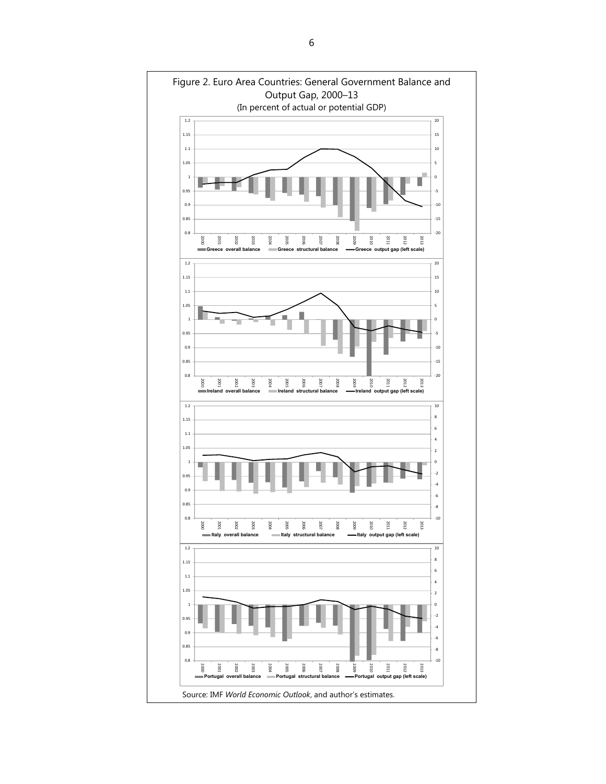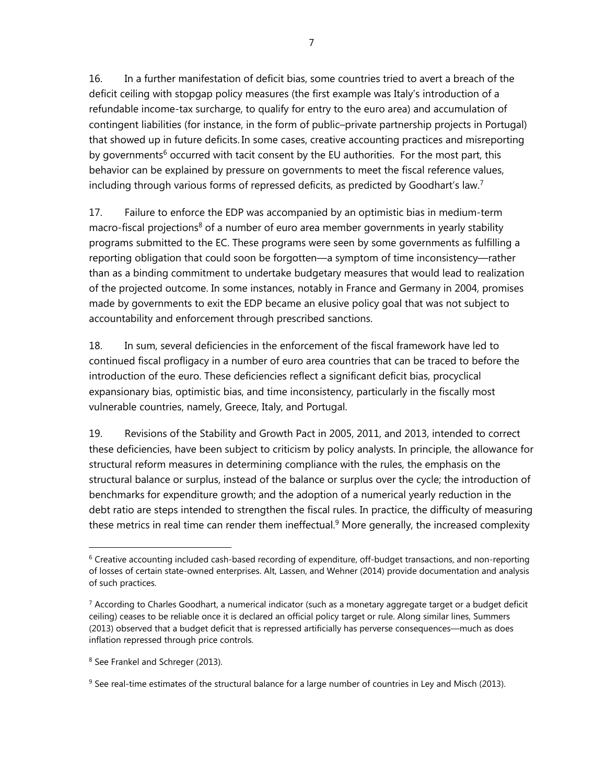16. In a further manifestation of deficit bias, some countries tried to avert a breach of the deficit ceiling with stopgap policy measures (the first example was Italy's introduction of a refundable income-tax surcharge, to qualify for entry to the euro area) and accumulation of contingent liabilities (for instance, in the form of public–private partnership projects in Portugal) that showed up in future deficits. In some cases, creative accounting practices and misreporting by governments<sup>6</sup> occurred with tacit consent by the EU authorities. For the most part, this behavior can be explained by pressure on governments to meet the fiscal reference values, including through various forms of repressed deficits, as predicted by Goodhart's law.<sup>7</sup>

17. Failure to enforce the EDP was accompanied by an optimistic bias in medium-term macro-fiscal projections<sup>8</sup> of a number of euro area member governments in yearly stability programs submitted to the EC. These programs were seen by some governments as fulfilling a reporting obligation that could soon be forgotten—a symptom of time inconsistency—rather than as a binding commitment to undertake budgetary measures that would lead to realization of the projected outcome. In some instances, notably in France and Germany in 2004, promises made by governments to exit the EDP became an elusive policy goal that was not subject to accountability and enforcement through prescribed sanctions.

18. In sum, several deficiencies in the enforcement of the fiscal framework have led to continued fiscal profligacy in a number of euro area countries that can be traced to before the introduction of the euro. These deficiencies reflect a significant deficit bias, procyclical expansionary bias, optimistic bias, and time inconsistency, particularly in the fiscally most vulnerable countries, namely, Greece, Italy, and Portugal.

19. Revisions of the Stability and Growth Pact in 2005, 2011, and 2013, intended to correct these deficiencies, have been subject to criticism by policy analysts. In principle, the allowance for structural reform measures in determining compliance with the rules, the emphasis on the structural balance or surplus, instead of the balance or surplus over the cycle; the introduction of benchmarks for expenditure growth; and the adoption of a numerical yearly reduction in the debt ratio are steps intended to strengthen the fiscal rules. In practice, the difficulty of measuring these metrics in real time can render them ineffectual.<sup>9</sup> More generally, the increased complexity

<sup>&</sup>lt;sup>6</sup> Creative accounting included cash-based recording of expenditure, off-budget transactions, and non-reporting of losses of certain state-owned enterprises. Alt, Lassen, and Wehner (2014) provide documentation and analysis of such practices.

 $7$  According to Charles Goodhart, a numerical indicator (such as a monetary aggregate target or a budget deficit ceiling) ceases to be reliable once it is declared an official policy target or rule. Along similar lines, Summers (2013) observed that a budget deficit that is repressed artificially has perverse consequences—much as does inflation repressed through price controls.

<sup>8</sup> See Frankel and Schreger (2013).

 $9$  See real-time estimates of the structural balance for a large number of countries in Ley and Misch (2013).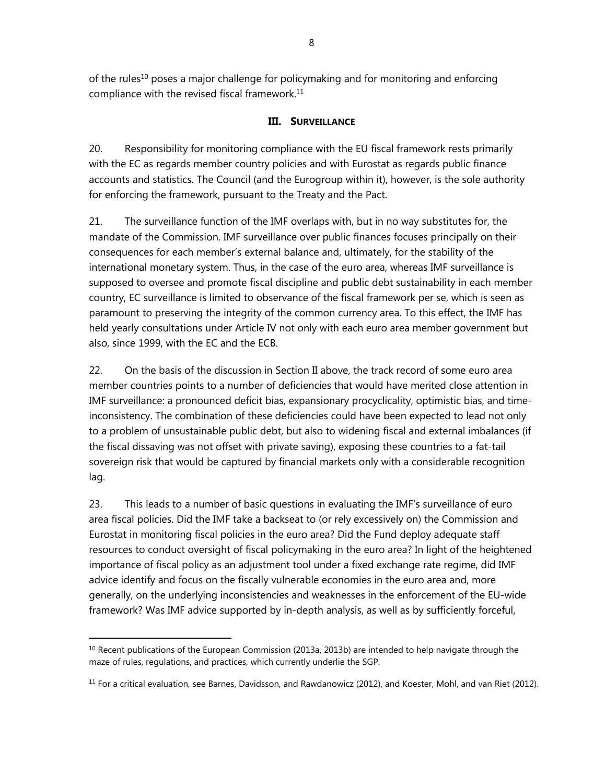of the rules<sup>10</sup> poses a major challenge for policymaking and for monitoring and enforcing compliance with the revised fiscal framework.<sup>11</sup>

## **III. SURVEILLANCE**

20. Responsibility for monitoring compliance with the EU fiscal framework rests primarily with the EC as regards member country policies and with Eurostat as regards public finance accounts and statistics. The Council (and the Eurogroup within it), however, is the sole authority for enforcing the framework, pursuant to the Treaty and the Pact.

21. The surveillance function of the IMF overlaps with, but in no way substitutes for, the mandate of the Commission. IMF surveillance over public finances focuses principally on their consequences for each member's external balance and, ultimately, for the stability of the international monetary system. Thus, in the case of the euro area, whereas IMF surveillance is supposed to oversee and promote fiscal discipline and public debt sustainability in each member country, EC surveillance is limited to observance of the fiscal framework per se, which is seen as paramount to preserving the integrity of the common currency area. To this effect, the IMF has held yearly consultations under Article IV not only with each euro area member government but also, since 1999, with the EC and the ECB.

22. On the basis of the discussion in Section II above, the track record of some euro area member countries points to a number of deficiencies that would have merited close attention in IMF surveillance: a pronounced deficit bias, expansionary procyclicality, optimistic bias, and timeinconsistency. The combination of these deficiencies could have been expected to lead not only to a problem of unsustainable public debt, but also to widening fiscal and external imbalances (if the fiscal dissaving was not offset with private saving), exposing these countries to a fat-tail sovereign risk that would be captured by financial markets only with a considerable recognition lag.

23. This leads to a number of basic questions in evaluating the IMF's surveillance of euro area fiscal policies. Did the IMF take a backseat to (or rely excessively on) the Commission and Eurostat in monitoring fiscal policies in the euro area? Did the Fund deploy adequate staff resources to conduct oversight of fiscal policymaking in the euro area? In light of the heightened importance of fiscal policy as an adjustment tool under a fixed exchange rate regime, did IMF advice identify and focus on the fiscally vulnerable economies in the euro area and, more generally, on the underlying inconsistencies and weaknesses in the enforcement of the EU-wide framework? Was IMF advice supported by in-depth analysis, as well as by sufficiently forceful,

 $10$  Recent publications of the European Commission (2013a, 2013b) are intended to help navigate through the maze of rules, regulations, and practices, which currently underlie the SGP.

<sup>&</sup>lt;sup>11</sup> For a critical evaluation, see Barnes, Davidsson, and Rawdanowicz (2012), and Koester, Mohl, and van Riet (2012).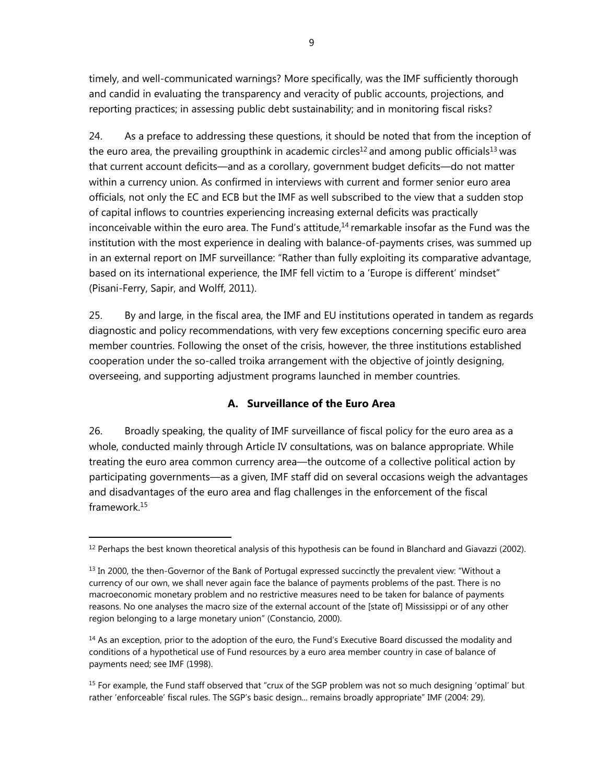timely, and well-communicated warnings? More specifically, was the IMF sufficiently thorough and candid in evaluating the transparency and veracity of public accounts, projections, and reporting practices; in assessing public debt sustainability; and in monitoring fiscal risks?

24. As a preface to addressing these questions, it should be noted that from the inception of the euro area, the prevailing groupthink in academic circles<sup>12</sup> and among public officials<sup>13</sup> was that current account deficits—and as a corollary, government budget deficits—do not matter within a currency union. As confirmed in interviews with current and former senior euro area officials, not only the EC and ECB but the IMF as well subscribed to the view that a sudden stop of capital inflows to countries experiencing increasing external deficits was practically inconceivable within the euro area. The Fund's attitude, $14$  remarkable insofar as the Fund was the institution with the most experience in dealing with balance-of-payments crises, was summed up in an external report on IMF surveillance: "Rather than fully exploiting its comparative advantage, based on its international experience, the IMF fell victim to a 'Europe is different' mindset" (Pisani-Ferry, Sapir, and Wolff, 2011).

25. By and large, in the fiscal area, the IMF and EU institutions operated in tandem as regards diagnostic and policy recommendations, with very few exceptions concerning specific euro area member countries. Following the onset of the crisis, however, the three institutions established cooperation under the so-called troika arrangement with the objective of jointly designing, overseeing, and supporting adjustment programs launched in member countries.

## **A. Surveillance of the Euro Area**

26. Broadly speaking, the quality of IMF surveillance of fiscal policy for the euro area as a whole, conducted mainly through Article IV consultations, was on balance appropriate. While treating the euro area common currency area—the outcome of a collective political action by participating governments—as a given, IMF staff did on several occasions weigh the advantages and disadvantages of the euro area and flag challenges in the enforcement of the fiscal framework.15

 $12$  Perhaps the best known theoretical analysis of this hypothesis can be found in Blanchard and Giavazzi (2002).

 $<sup>13</sup>$  In 2000, the then-Governor of the Bank of Portugal expressed succinctly the prevalent view: "Without a</sup> currency of our own, we shall never again face the balance of payments problems of the past. There is no macroeconomic monetary problem and no restrictive measures need to be taken for balance of payments reasons. No one analyses the macro size of the external account of the [state of] Mississippi or of any other region belonging to a large monetary union" (Constancio, 2000).

<sup>&</sup>lt;sup>14</sup> As an exception, prior to the adoption of the euro, the Fund's Executive Board discussed the modality and conditions of a hypothetical use of Fund resources by a euro area member country in case of balance of payments need; see IMF (1998).

<sup>&</sup>lt;sup>15</sup> For example, the Fund staff observed that "crux of the SGP problem was not so much designing 'optimal' but rather 'enforceable' fiscal rules. The SGP's basic design... remains broadly appropriate" IMF (2004: 29).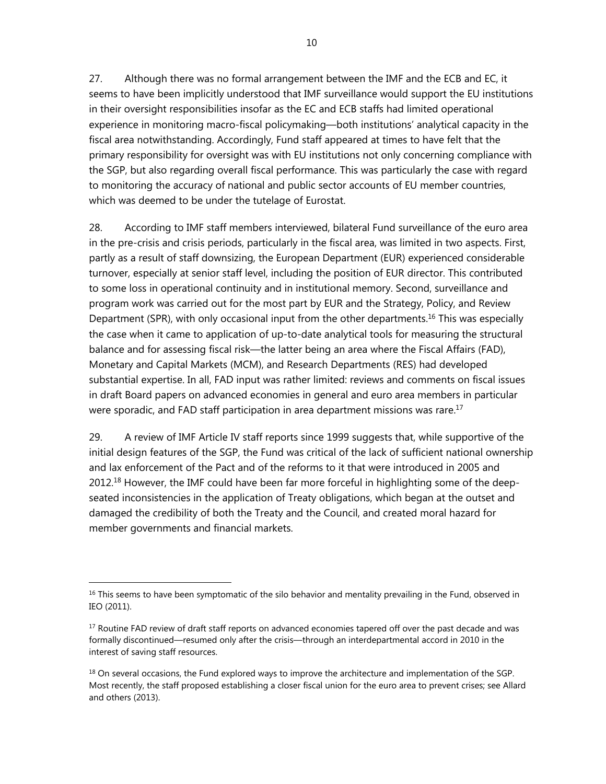27. Although there was no formal arrangement between the IMF and the ECB and EC, it seems to have been implicitly understood that IMF surveillance would support the EU institutions in their oversight responsibilities insofar as the EC and ECB staffs had limited operational experience in monitoring macro-fiscal policymaking—both institutions' analytical capacity in the fiscal area notwithstanding. Accordingly, Fund staff appeared at times to have felt that the primary responsibility for oversight was with EU institutions not only concerning compliance with the SGP, but also regarding overall fiscal performance. This was particularly the case with regard to monitoring the accuracy of national and public sector accounts of EU member countries, which was deemed to be under the tutelage of Eurostat.

28. According to IMF staff members interviewed, bilateral Fund surveillance of the euro area in the pre-crisis and crisis periods, particularly in the fiscal area, was limited in two aspects. First, partly as a result of staff downsizing, the European Department (EUR) experienced considerable turnover, especially at senior staff level, including the position of EUR director. This contributed to some loss in operational continuity and in institutional memory. Second, surveillance and program work was carried out for the most part by EUR and the Strategy, Policy, and Review Department (SPR), with only occasional input from the other departments.<sup>16</sup> This was especially the case when it came to application of up-to-date analytical tools for measuring the structural balance and for assessing fiscal risk—the latter being an area where the Fiscal Affairs (FAD), Monetary and Capital Markets (MCM), and Research Departments (RES) had developed substantial expertise. In all, FAD input was rather limited: reviews and comments on fiscal issues in draft Board papers on advanced economies in general and euro area members in particular were sporadic, and FAD staff participation in area department missions was rare.<sup>17</sup>

29. A review of IMF Article IV staff reports since 1999 suggests that, while supportive of the initial design features of the SGP, the Fund was critical of the lack of sufficient national ownership and lax enforcement of the Pact and of the reforms to it that were introduced in 2005 and 2012.18 However, the IMF could have been far more forceful in highlighting some of the deepseated inconsistencies in the application of Treaty obligations, which began at the outset and damaged the credibility of both the Treaty and the Council, and created moral hazard for member governments and financial markets.

<sup>&</sup>lt;sup>16</sup> This seems to have been symptomatic of the silo behavior and mentality prevailing in the Fund, observed in IEO (2011).

<sup>&</sup>lt;sup>17</sup> Routine FAD review of draft staff reports on advanced economies tapered off over the past decade and was formally discontinued—resumed only after the crisis—through an interdepartmental accord in 2010 in the interest of saving staff resources.

 $18$  On several occasions, the Fund explored ways to improve the architecture and implementation of the SGP. Most recently, the staff proposed establishing a closer fiscal union for the euro area to prevent crises; see Allard and others (2013).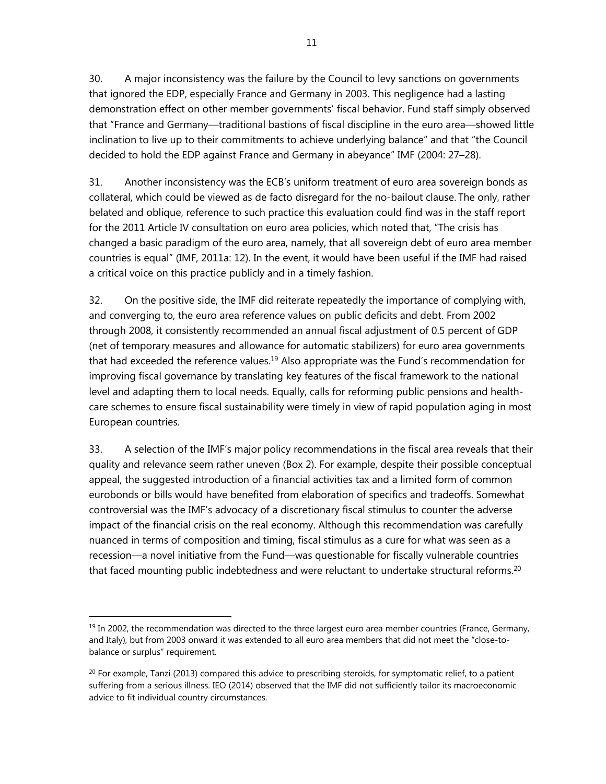30. A major inconsistency was the failure by the Council to levy sanctions on governments that ignored the EDP, especially France and Germany in 2003. This negligence had a lasting demonstration effect on other member governments' fiscal behavior. Fund staff simply observed that "France and Germany—traditional bastions of fiscal discipline in the euro area—showed little inclination to live up to their commitments to achieve underlying balance" and that "the Council decided to hold the EDP against France and Germany in abeyance" IMF (2004: 27–28).

31. Another inconsistency was the ECB's uniform treatment of euro area sovereign bonds as collateral, which could be viewed as de facto disregard for the no-bailout clause. The only, rather belated and oblique, reference to such practice this evaluation could find was in the staff report for the 2011 Article IV consultation on euro area policies, which noted that, "The crisis has changed a basic paradigm of the euro area, namely, that all sovereign debt of euro area member countries is equal" (IMF, 2011a: 12). In the event, it would have been useful if the IMF had raised a critical voice on this practice publicly and in a timely fashion.

32. On the positive side, the IMF did reiterate repeatedly the importance of complying with, and converging to, the euro area reference values on public deficits and debt. From 2002 through 2008, it consistently recommended an annual fiscal adjustment of 0.5 percent of GDP (net of temporary measures and allowance for automatic stabilizers) for euro area governments that had exceeded the reference values.<sup>19</sup> Also appropriate was the Fund's recommendation for improving fiscal governance by translating key features of the fiscal framework to the national level and adapting them to local needs. Equally, calls for reforming public pensions and healthcare schemes to ensure fiscal sustainability were timely in view of rapid population aging in most European countries.

33. A selection of the IMF's major policy recommendations in the fiscal area reveals that their quality and relevance seem rather uneven (Box 2). For example, despite their possible conceptual appeal, the suggested introduction of a financial activities tax and a limited form of common eurobonds or bills would have benefited from elaboration of specifics and tradeoffs. Somewhat controversial was the IMF's advocacy of a discretionary fiscal stimulus to counter the adverse impact of the financial crisis on the real economy. Although this recommendation was carefully nuanced in terms of composition and timing, fiscal stimulus as a cure for what was seen as a recession—a novel initiative from the Fund—was questionable for fiscally vulnerable countries that faced mounting public indebtedness and were reluctant to undertake structural reforms.<sup>20</sup>

 $\overline{a}$  $<sup>19</sup>$  In 2002, the recommendation was directed to the three largest euro area member countries (France, Germany,</sup> and Italy), but from 2003 onward it was extended to all euro area members that did not meet the "close-tobalance or surplus" requirement.

 $^{20}$  For example, Tanzi (2013) compared this advice to prescribing steroids, for symptomatic relief, to a patient suffering from a serious illness. IEO (2014) observed that the IMF did not sufficiently tailor its macroeconomic advice to fit individual country circumstances.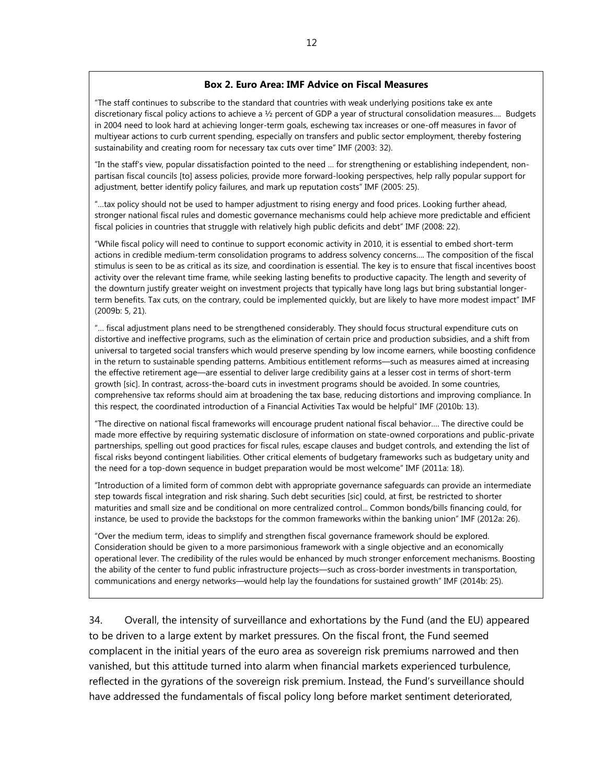#### **Box 2. Euro Area: IMF Advice on Fiscal Measures**

"The staff continues to subscribe to the standard that countries with weak underlying positions take ex ante discretionary fiscal policy actions to achieve a  $\frac{1}{2}$  percent of GDP a year of structural consolidation measures.... Budgets in 2004 need to look hard at achieving longer-term goals, eschewing tax increases or one-off measures in favor of multiyear actions to curb current spending, especially on transfers and public sector employment, thereby fostering sustainability and creating room for necessary tax cuts over time" IMF (2003: 32).

"In the staff's view, popular dissatisfaction pointed to the need … for strengthening or establishing independent, nonpartisan fiscal councils [to] assess policies, provide more forward-looking perspectives, help rally popular support for adjustment, better identify policy failures, and mark up reputation costs" IMF (2005: 25).

"…tax policy should not be used to hamper adjustment to rising energy and food prices. Looking further ahead, stronger national fiscal rules and domestic governance mechanisms could help achieve more predictable and efficient fiscal policies in countries that struggle with relatively high public deficits and debt" IMF (2008: 22).

"While fiscal policy will need to continue to support economic activity in 2010, it is essential to embed short-term actions in credible medium-term consolidation programs to address solvency concerns…. The composition of the fiscal stimulus is seen to be as critical as its size, and coordination is essential. The key is to ensure that fiscal incentives boost activity over the relevant time frame, while seeking lasting benefits to productive capacity. The length and severity of the downturn justify greater weight on investment projects that typically have long lags but bring substantial longerterm benefits. Tax cuts, on the contrary, could be implemented quickly, but are likely to have more modest impact" IMF (2009b: 5, 21).

"… fiscal adjustment plans need to be strengthened considerably. They should focus structural expenditure cuts on distortive and ineffective programs, such as the elimination of certain price and production subsidies, and a shift from universal to targeted social transfers which would preserve spending by low income earners, while boosting confidence in the return to sustainable spending patterns. Ambitious entitlement reforms—such as measures aimed at increasing the effective retirement age—are essential to deliver large credibility gains at a lesser cost in terms of short-term growth [sic]. In contrast, across-the-board cuts in investment programs should be avoided. In some countries, comprehensive tax reforms should aim at broadening the tax base, reducing distortions and improving compliance. In this respect, the coordinated introduction of a Financial Activities Tax would be helpful" IMF (2010b: 13).

"The directive on national fiscal frameworks will encourage prudent national fiscal behavior…. The directive could be made more effective by requiring systematic disclosure of information on state-owned corporations and public-private partnerships, spelling out good practices for fiscal rules, escape clauses and budget controls, and extending the list of fiscal risks beyond contingent liabilities. Other critical elements of budgetary frameworks such as budgetary unity and the need for a top-down sequence in budget preparation would be most welcome" IMF (2011a: 18).

"Introduction of a limited form of common debt with appropriate governance safeguards can provide an intermediate step towards fiscal integration and risk sharing. Such debt securities [sic] could, at first, be restricted to shorter maturities and small size and be conditional on more centralized control... Common bonds/bills financing could, for instance, be used to provide the backstops for the common frameworks within the banking union" IMF (2012a: 26).

"Over the medium term, ideas to simplify and strengthen fiscal governance framework should be explored. Consideration should be given to a more parsimonious framework with a single objective and an economically operational lever. The credibility of the rules would be enhanced by much stronger enforcement mechanisms. Boosting the ability of the center to fund public infrastructure projects—such as cross-border investments in transportation, communications and energy networks—would help lay the foundations for sustained growth" IMF (2014b: 25).

34. Overall, the intensity of surveillance and exhortations by the Fund (and the EU) appeared to be driven to a large extent by market pressures. On the fiscal front, the Fund seemed complacent in the initial years of the euro area as sovereign risk premiums narrowed and then vanished, but this attitude turned into alarm when financial markets experienced turbulence, reflected in the gyrations of the sovereign risk premium. Instead, the Fund's surveillance should have addressed the fundamentals of fiscal policy long before market sentiment deteriorated,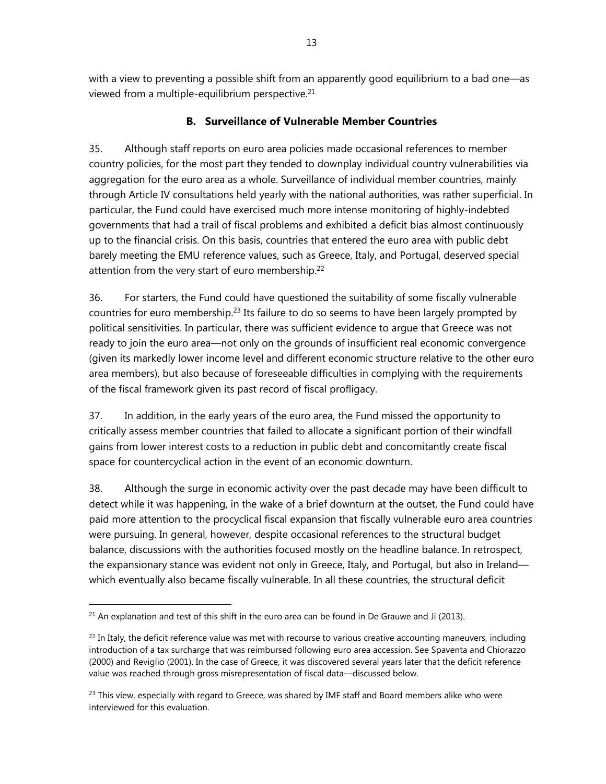with a view to preventing a possible shift from an apparently good equilibrium to a bad one—as viewed from a multiple-equilibrium perspective.21

## **B. Surveillance of Vulnerable Member Countries**

35. Although staff reports on euro area policies made occasional references to member country policies, for the most part they tended to downplay individual country vulnerabilities via aggregation for the euro area as a whole. Surveillance of individual member countries, mainly through Article IV consultations held yearly with the national authorities, was rather superficial. In particular, the Fund could have exercised much more intense monitoring of highly-indebted governments that had a trail of fiscal problems and exhibited a deficit bias almost continuously up to the financial crisis. On this basis, countries that entered the euro area with public debt barely meeting the EMU reference values, such as Greece, Italy, and Portugal, deserved special attention from the very start of euro membership.<sup>22</sup>

36. For starters, the Fund could have questioned the suitability of some fiscally vulnerable countries for euro membership.<sup>23</sup> Its failure to do so seems to have been largely prompted by political sensitivities. In particular, there was sufficient evidence to argue that Greece was not ready to join the euro area—not only on the grounds of insufficient real economic convergence (given its markedly lower income level and different economic structure relative to the other euro area members), but also because of foreseeable difficulties in complying with the requirements of the fiscal framework given its past record of fiscal profligacy.

37. In addition, in the early years of the euro area, the Fund missed the opportunity to critically assess member countries that failed to allocate a significant portion of their windfall gains from lower interest costs to a reduction in public debt and concomitantly create fiscal space for countercyclical action in the event of an economic downturn.

38. Although the surge in economic activity over the past decade may have been difficult to detect while it was happening, in the wake of a brief downturn at the outset, the Fund could have paid more attention to the procyclical fiscal expansion that fiscally vulnerable euro area countries were pursuing. In general, however, despite occasional references to the structural budget balance, discussions with the authorities focused mostly on the headline balance. In retrospect, the expansionary stance was evident not only in Greece, Italy, and Portugal, but also in Ireland which eventually also became fiscally vulnerable. In all these countries, the structural deficit

 $21$  An explanation and test of this shift in the euro area can be found in De Grauwe and Ji (2013).

 $^{22}$  In Italy, the deficit reference value was met with recourse to various creative accounting maneuvers, including introduction of a tax surcharge that was reimbursed following euro area accession. See Spaventa and Chiorazzo (2000) and Reviglio (2001). In the case of Greece, it was discovered several years later that the deficit reference value was reached through gross misrepresentation of fiscal data—discussed below.

 $23$  This view, especially with regard to Greece, was shared by IMF staff and Board members alike who were interviewed for this evaluation.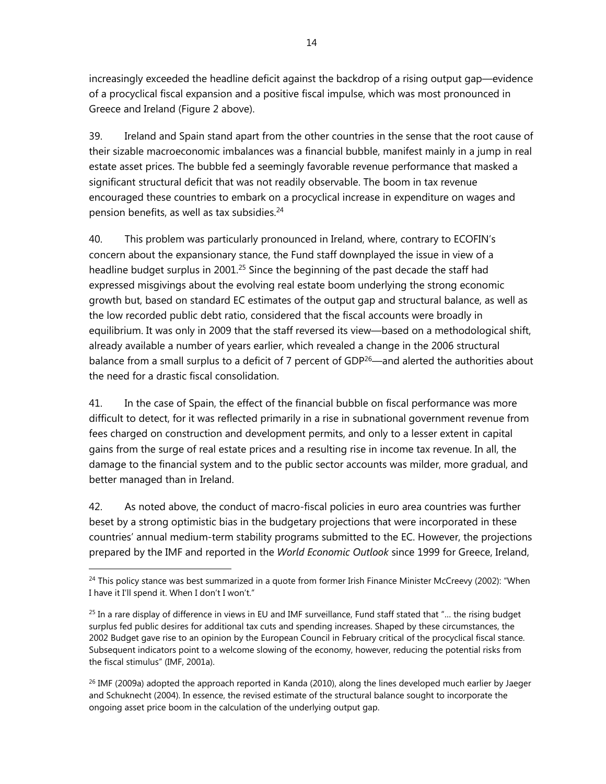increasingly exceeded the headline deficit against the backdrop of a rising output gap—evidence of a procyclical fiscal expansion and a positive fiscal impulse, which was most pronounced in Greece and Ireland (Figure 2 above).

39. Ireland and Spain stand apart from the other countries in the sense that the root cause of their sizable macroeconomic imbalances was a financial bubble, manifest mainly in a jump in real estate asset prices. The bubble fed a seemingly favorable revenue performance that masked a significant structural deficit that was not readily observable. The boom in tax revenue encouraged these countries to embark on a procyclical increase in expenditure on wages and pension benefits, as well as tax subsidies.<sup>24</sup>

40. This problem was particularly pronounced in Ireland, where, contrary to ECOFIN's concern about the expansionary stance, the Fund staff downplayed the issue in view of a headline budget surplus in 2001.<sup>25</sup> Since the beginning of the past decade the staff had expressed misgivings about the evolving real estate boom underlying the strong economic growth but, based on standard EC estimates of the output gap and structural balance, as well as the low recorded public debt ratio, considered that the fiscal accounts were broadly in equilibrium. It was only in 2009 that the staff reversed its view—based on a methodological shift, already available a number of years earlier, which revealed a change in the 2006 structural balance from a small surplus to a deficit of 7 percent of GDP<sup>26</sup>—and alerted the authorities about the need for a drastic fiscal consolidation.

41. In the case of Spain, the effect of the financial bubble on fiscal performance was more difficult to detect, for it was reflected primarily in a rise in subnational government revenue from fees charged on construction and development permits, and only to a lesser extent in capital gains from the surge of real estate prices and a resulting rise in income tax revenue. In all, the damage to the financial system and to the public sector accounts was milder, more gradual, and better managed than in Ireland.

42. As noted above, the conduct of macro-fiscal policies in euro area countries was further beset by a strong optimistic bias in the budgetary projections that were incorporated in these countries' annual medium-term stability programs submitted to the EC. However, the projections prepared by the IMF and reported in the *World Economic Outlook* since 1999 for Greece, Ireland,

<sup>&</sup>lt;sup>24</sup> This policy stance was best summarized in a quote from former Irish Finance Minister McCreevy (2002): "When I have it I'll spend it. When I don't I won't."

 $25$  In a rare display of difference in views in EU and IMF surveillance, Fund staff stated that "... the rising budget surplus fed public desires for additional tax cuts and spending increases. Shaped by these circumstances, the 2002 Budget gave rise to an opinion by the European Council in February critical of the procyclical fiscal stance. Subsequent indicators point to a welcome slowing of the economy, however, reducing the potential risks from the fiscal stimulus" (IMF, 2001a).

 $^{26}$  IMF (2009a) adopted the approach reported in Kanda (2010), along the lines developed much earlier by Jaeger and Schuknecht (2004). In essence, the revised estimate of the structural balance sought to incorporate the ongoing asset price boom in the calculation of the underlying output gap.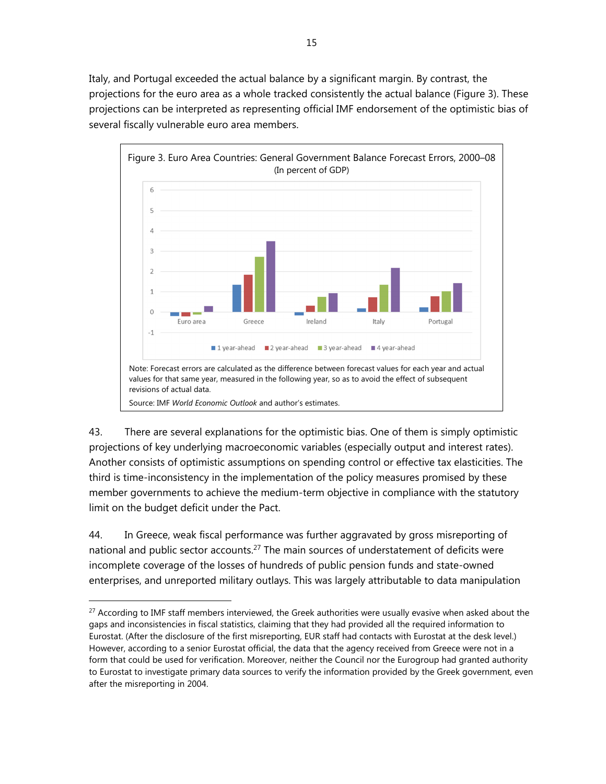Italy, and Portugal exceeded the actual balance by a significant margin. By contrast, the projections for the euro area as a whole tracked consistently the actual balance (Figure 3). These projections can be interpreted as representing official IMF endorsement of the optimistic bias of several fiscally vulnerable euro area members.



43. There are several explanations for the optimistic bias. One of them is simply optimistic projections of key underlying macroeconomic variables (especially output and interest rates). Another consists of optimistic assumptions on spending control or effective tax elasticities. The third is time-inconsistency in the implementation of the policy measures promised by these member governments to achieve the medium-term objective in compliance with the statutory limit on the budget deficit under the Pact.

44. In Greece, weak fiscal performance was further aggravated by gross misreporting of national and public sector accounts.<sup>27</sup> The main sources of understatement of deficits were incomplete coverage of the losses of hundreds of public pension funds and state-owned enterprises, and unreported military outlays. This was largely attributable to data manipulation

<sup>&</sup>lt;sup>27</sup> According to IMF staff members interviewed, the Greek authorities were usually evasive when asked about the gaps and inconsistencies in fiscal statistics, claiming that they had provided all the required information to Eurostat. (After the disclosure of the first misreporting, EUR staff had contacts with Eurostat at the desk level.) However, according to a senior Eurostat official, the data that the agency received from Greece were not in a form that could be used for verification. Moreover, neither the Council nor the Eurogroup had granted authority to Eurostat to investigate primary data sources to verify the information provided by the Greek government, even after the misreporting in 2004.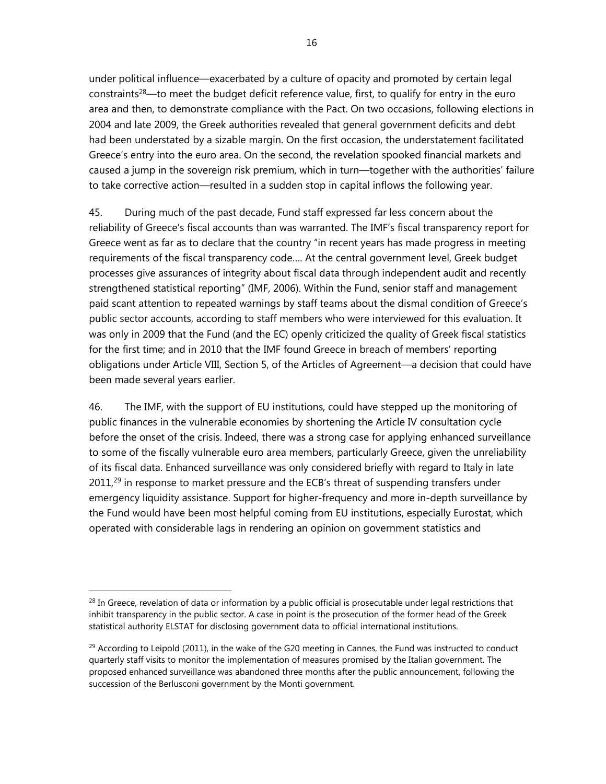under political influence—exacerbated by a culture of opacity and promoted by certain legal constraints<sup>28</sup>—to meet the budget deficit reference value, first, to qualify for entry in the euro area and then, to demonstrate compliance with the Pact. On two occasions, following elections in 2004 and late 2009, the Greek authorities revealed that general government deficits and debt had been understated by a sizable margin. On the first occasion, the understatement facilitated Greece's entry into the euro area. On the second, the revelation spooked financial markets and caused a jump in the sovereign risk premium, which in turn—together with the authorities' failure to take corrective action—resulted in a sudden stop in capital inflows the following year.

45. During much of the past decade, Fund staff expressed far less concern about the reliability of Greece's fiscal accounts than was warranted. The IMF's fiscal transparency report for Greece went as far as to declare that the country "in recent years has made progress in meeting requirements of the fiscal transparency code…. At the central government level, Greek budget processes give assurances of integrity about fiscal data through independent audit and recently strengthened statistical reporting" (IMF, 2006). Within the Fund, senior staff and management paid scant attention to repeated warnings by staff teams about the dismal condition of Greece's public sector accounts, according to staff members who were interviewed for this evaluation. It was only in 2009 that the Fund (and the EC) openly criticized the quality of Greek fiscal statistics for the first time; and in 2010 that the IMF found Greece in breach of members' reporting obligations under Article VIII, Section 5, of the Articles of Agreement—a decision that could have been made several years earlier.

46. The IMF, with the support of EU institutions, could have stepped up the monitoring of public finances in the vulnerable economies by shortening the Article IV consultation cycle before the onset of the crisis. Indeed, there was a strong case for applying enhanced surveillance to some of the fiscally vulnerable euro area members, particularly Greece, given the unreliability of its fiscal data. Enhanced surveillance was only considered briefly with regard to Italy in late 2011,<sup>29</sup> in response to market pressure and the ECB's threat of suspending transfers under emergency liquidity assistance. Support for higher-frequency and more in-depth surveillance by the Fund would have been most helpful coming from EU institutions, especially Eurostat, which operated with considerable lags in rendering an opinion on government statistics and

<sup>&</sup>lt;sup>28</sup> In Greece, revelation of data or information by a public official is prosecutable under legal restrictions that inhibit transparency in the public sector. A case in point is the prosecution of the former head of the Greek statistical authority ELSTAT for disclosing government data to official international institutions.

 $^{29}$  According to Leipold (2011), in the wake of the G20 meeting in Cannes, the Fund was instructed to conduct quarterly staff visits to monitor the implementation of measures promised by the Italian government. The proposed enhanced surveillance was abandoned three months after the public announcement, following the succession of the Berlusconi government by the Monti government.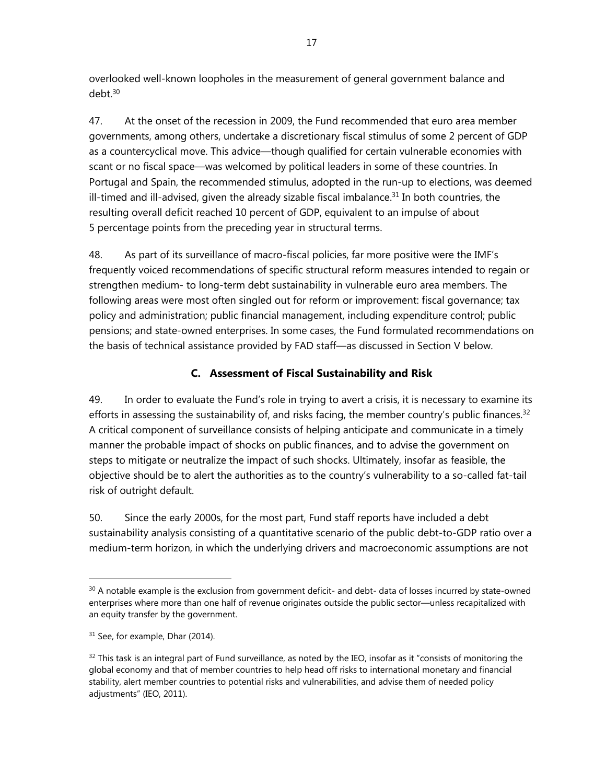overlooked well-known loopholes in the measurement of general government balance and debt.30

47. At the onset of the recession in 2009, the Fund recommended that euro area member governments, among others, undertake a discretionary fiscal stimulus of some 2 percent of GDP as a countercyclical move. This advice—though qualified for certain vulnerable economies with scant or no fiscal space—was welcomed by political leaders in some of these countries. In Portugal and Spain, the recommended stimulus, adopted in the run-up to elections, was deemed ill-timed and ill-advised, given the already sizable fiscal imbalance.<sup>31</sup> In both countries, the resulting overall deficit reached 10 percent of GDP, equivalent to an impulse of about 5 percentage points from the preceding year in structural terms.

48. As part of its surveillance of macro-fiscal policies, far more positive were the IMF's frequently voiced recommendations of specific structural reform measures intended to regain or strengthen medium- to long-term debt sustainability in vulnerable euro area members. The following areas were most often singled out for reform or improvement: fiscal governance; tax policy and administration; public financial management, including expenditure control; public pensions; and state-owned enterprises. In some cases, the Fund formulated recommendations on the basis of technical assistance provided by FAD staff—as discussed in Section V below.

## **C. Assessment of Fiscal Sustainability and Risk**

49. In order to evaluate the Fund's role in trying to avert a crisis, it is necessary to examine its efforts in assessing the sustainability of, and risks facing, the member country's public finances.<sup>32</sup> A critical component of surveillance consists of helping anticipate and communicate in a timely manner the probable impact of shocks on public finances, and to advise the government on steps to mitigate or neutralize the impact of such shocks. Ultimately, insofar as feasible, the objective should be to alert the authorities as to the country's vulnerability to a so-called fat-tail risk of outright default.

50. Since the early 2000s, for the most part, Fund staff reports have included a debt sustainability analysis consisting of a quantitative scenario of the public debt-to-GDP ratio over a medium-term horizon, in which the underlying drivers and macroeconomic assumptions are not

<sup>&</sup>lt;sup>30</sup> A notable example is the exclusion from government deficit- and debt- data of losses incurred by state-owned enterprises where more than one half of revenue originates outside the public sector—unless recapitalized with an equity transfer by the government.

<sup>&</sup>lt;sup>31</sup> See, for example, Dhar (2014).

 $32$  This task is an integral part of Fund surveillance, as noted by the IEO, insofar as it "consists of monitoring the global economy and that of member countries to help head off risks to international monetary and financial stability, alert member countries to potential risks and vulnerabilities, and advise them of needed policy adjustments" (IEO, 2011).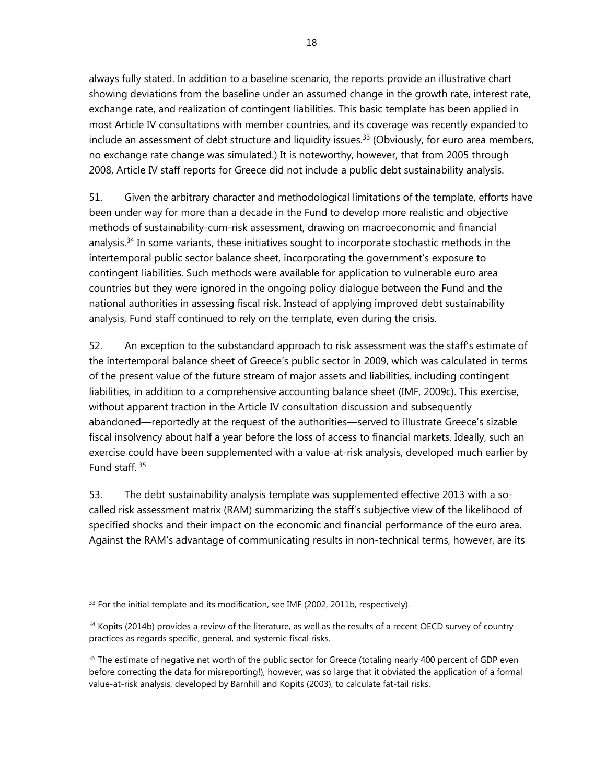always fully stated. In addition to a baseline scenario, the reports provide an illustrative chart showing deviations from the baseline under an assumed change in the growth rate, interest rate, exchange rate, and realization of contingent liabilities. This basic template has been applied in most Article IV consultations with member countries, and its coverage was recently expanded to include an assessment of debt structure and liquidity issues.<sup>33</sup> (Obviously, for euro area members, no exchange rate change was simulated.) It is noteworthy, however, that from 2005 through 2008, Article IV staff reports for Greece did not include a public debt sustainability analysis.

51. Given the arbitrary character and methodological limitations of the template, efforts have been under way for more than a decade in the Fund to develop more realistic and objective methods of sustainability-cum-risk assessment, drawing on macroeconomic and financial analysis.<sup>34</sup> In some variants, these initiatives sought to incorporate stochastic methods in the intertemporal public sector balance sheet, incorporating the government's exposure to contingent liabilities. Such methods were available for application to vulnerable euro area countries but they were ignored in the ongoing policy dialogue between the Fund and the national authorities in assessing fiscal risk. Instead of applying improved debt sustainability analysis, Fund staff continued to rely on the template, even during the crisis.

52. An exception to the substandard approach to risk assessment was the staff's estimate of the intertemporal balance sheet of Greece's public sector in 2009, which was calculated in terms of the present value of the future stream of major assets and liabilities, including contingent liabilities, in addition to a comprehensive accounting balance sheet (IMF, 2009c). This exercise, without apparent traction in the Article IV consultation discussion and subsequently abandoned—reportedly at the request of the authorities—served to illustrate Greece's sizable fiscal insolvency about half a year before the loss of access to financial markets. Ideally, such an exercise could have been supplemented with a value-at-risk analysis, developed much earlier by Fund staff. 35

53. The debt sustainability analysis template was supplemented effective 2013 with a socalled risk assessment matrix (RAM) summarizing the staff's subjective view of the likelihood of specified shocks and their impact on the economic and financial performance of the euro area. Against the RAM's advantage of communicating results in non-technical terms, however, are its

<sup>&</sup>lt;sup>33</sup> For the initial template and its modification, see IMF (2002, 2011b, respectively).

<sup>34</sup> Kopits (2014b) provides a review of the literature, as well as the results of a recent OECD survey of country practices as regards specific, general, and systemic fiscal risks.

<sup>&</sup>lt;sup>35</sup> The estimate of negative net worth of the public sector for Greece (totaling nearly 400 percent of GDP even before correcting the data for misreporting!), however, was so large that it obviated the application of a formal value-at-risk analysis, developed by Barnhill and Kopits (2003), to calculate fat-tail risks.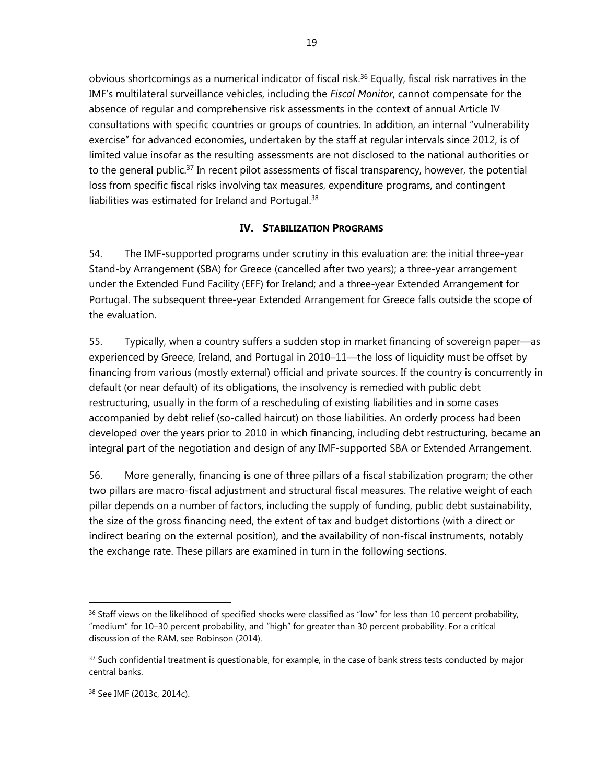obvious shortcomings as a numerical indicator of fiscal risk.<sup>36</sup> Equally, fiscal risk narratives in the IMF's multilateral surveillance vehicles, including the *Fiscal Monitor*, cannot compensate for the absence of regular and comprehensive risk assessments in the context of annual Article IV consultations with specific countries or groups of countries. In addition, an internal "vulnerability exercise" for advanced economies, undertaken by the staff at regular intervals since 2012, is of limited value insofar as the resulting assessments are not disclosed to the national authorities or to the general public.<sup>37</sup> In recent pilot assessments of fiscal transparency, however, the potential loss from specific fiscal risks involving tax measures, expenditure programs, and contingent liabilities was estimated for Ireland and Portugal.<sup>38</sup>

#### **IV. STABILIZATION PROGRAMS**

54. The IMF-supported programs under scrutiny in this evaluation are: the initial three-year Stand-by Arrangement (SBA) for Greece (cancelled after two years); a three-year arrangement under the Extended Fund Facility (EFF) for Ireland; and a three-year Extended Arrangement for Portugal. The subsequent three-year Extended Arrangement for Greece falls outside the scope of the evaluation.

55. Typically, when a country suffers a sudden stop in market financing of sovereign paper—as experienced by Greece, Ireland, and Portugal in 2010–11—the loss of liquidity must be offset by financing from various (mostly external) official and private sources. If the country is concurrently in default (or near default) of its obligations, the insolvency is remedied with public debt restructuring, usually in the form of a rescheduling of existing liabilities and in some cases accompanied by debt relief (so-called haircut) on those liabilities. An orderly process had been developed over the years prior to 2010 in which financing, including debt restructuring, became an integral part of the negotiation and design of any IMF-supported SBA or Extended Arrangement.

56. More generally, financing is one of three pillars of a fiscal stabilization program; the other two pillars are macro-fiscal adjustment and structural fiscal measures. The relative weight of each pillar depends on a number of factors, including the supply of funding, public debt sustainability, the size of the gross financing need, the extent of tax and budget distortions (with a direct or indirect bearing on the external position), and the availability of non-fiscal instruments, notably the exchange rate. These pillars are examined in turn in the following sections.

 $36$  Staff views on the likelihood of specified shocks were classified as "low" for less than 10 percent probability, "medium" for 10–30 percent probability, and "high" for greater than 30 percent probability. For a critical discussion of the RAM, see Robinson (2014).

 $37$  Such confidential treatment is questionable, for example, in the case of bank stress tests conducted by major central banks.

<sup>38</sup> See IMF (2013c, 2014c).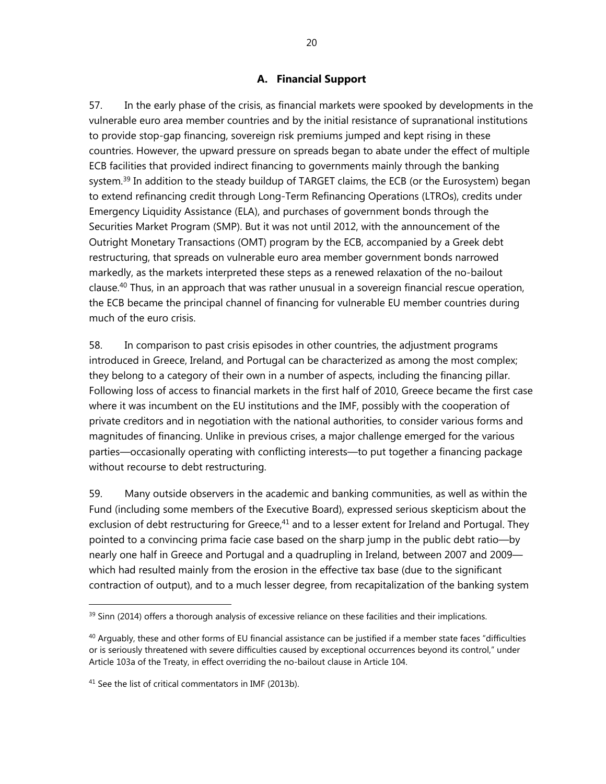## **A. Financial Support**

57. In the early phase of the crisis, as financial markets were spooked by developments in the vulnerable euro area member countries and by the initial resistance of supranational institutions to provide stop-gap financing, sovereign risk premiums jumped and kept rising in these countries. However, the upward pressure on spreads began to abate under the effect of multiple ECB facilities that provided indirect financing to governments mainly through the banking system.<sup>39</sup> In addition to the steady buildup of TARGET claims, the ECB (or the Eurosystem) began to extend refinancing credit through Long-Term Refinancing Operations (LTROs), credits under Emergency Liquidity Assistance (ELA), and purchases of government bonds through the Securities Market Program (SMP). But it was not until 2012, with the announcement of the Outright Monetary Transactions (OMT) program by the ECB, accompanied by a Greek debt restructuring, that spreads on vulnerable euro area member government bonds narrowed markedly, as the markets interpreted these steps as a renewed relaxation of the no-bailout clause.40 Thus, in an approach that was rather unusual in a sovereign financial rescue operation, the ECB became the principal channel of financing for vulnerable EU member countries during much of the euro crisis.

58. In comparison to past crisis episodes in other countries, the adjustment programs introduced in Greece, Ireland, and Portugal can be characterized as among the most complex; they belong to a category of their own in a number of aspects, including the financing pillar. Following loss of access to financial markets in the first half of 2010, Greece became the first case where it was incumbent on the EU institutions and the IMF, possibly with the cooperation of private creditors and in negotiation with the national authorities, to consider various forms and magnitudes of financing. Unlike in previous crises, a major challenge emerged for the various parties—occasionally operating with conflicting interests—to put together a financing package without recourse to debt restructuring.

59. Many outside observers in the academic and banking communities, as well as within the Fund (including some members of the Executive Board), expressed serious skepticism about the exclusion of debt restructuring for Greece,<sup>41</sup> and to a lesser extent for Ireland and Portugal. They pointed to a convincing prima facie case based on the sharp jump in the public debt ratio—by nearly one half in Greece and Portugal and a quadrupling in Ireland, between 2007 and 2009 which had resulted mainly from the erosion in the effective tax base (due to the significant contraction of output), and to a much lesser degree, from recapitalization of the banking system

 $39$  Sinn (2014) offers a thorough analysis of excessive reliance on these facilities and their implications.

 $40$  Arguably, these and other forms of EU financial assistance can be justified if a member state faces "difficulties or is seriously threatened with severe difficulties caused by exceptional occurrences beyond its control," under Article 103a of the Treaty, in effect overriding the no-bailout clause in Article 104.

 $41$  See the list of critical commentators in IMF (2013b).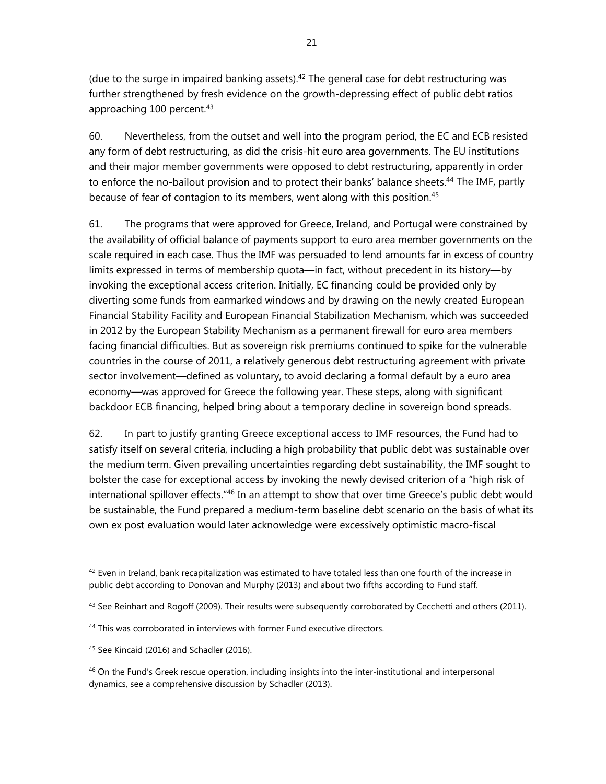(due to the surge in impaired banking assets). $42$  The general case for debt restructuring was further strengthened by fresh evidence on the growth-depressing effect of public debt ratios approaching 100 percent.<sup>43</sup>

60. Nevertheless, from the outset and well into the program period, the EC and ECB resisted any form of debt restructuring, as did the crisis-hit euro area governments. The EU institutions and their major member governments were opposed to debt restructuring, apparently in order to enforce the no-bailout provision and to protect their banks' balance sheets.<sup>44</sup> The IMF, partly because of fear of contagion to its members, went along with this position.<sup>45</sup>

61. The programs that were approved for Greece, Ireland, and Portugal were constrained by the availability of official balance of payments support to euro area member governments on the scale required in each case. Thus the IMF was persuaded to lend amounts far in excess of country limits expressed in terms of membership quota—in fact, without precedent in its history—by invoking the exceptional access criterion. Initially, EC financing could be provided only by diverting some funds from earmarked windows and by drawing on the newly created European Financial Stability Facility and European Financial Stabilization Mechanism, which was succeeded in 2012 by the European Stability Mechanism as a permanent firewall for euro area members facing financial difficulties. But as sovereign risk premiums continued to spike for the vulnerable countries in the course of 2011, a relatively generous debt restructuring agreement with private sector involvement—defined as voluntary, to avoid declaring a formal default by a euro area economy—was approved for Greece the following year. These steps, along with significant backdoor ECB financing, helped bring about a temporary decline in sovereign bond spreads.

62. In part to justify granting Greece exceptional access to IMF resources, the Fund had to satisfy itself on several criteria, including a high probability that public debt was sustainable over the medium term. Given prevailing uncertainties regarding debt sustainability, the IMF sought to bolster the case for exceptional access by invoking the newly devised criterion of a "high risk of international spillover effects."46 In an attempt to show that over time Greece's public debt would be sustainable, the Fund prepared a medium-term baseline debt scenario on the basis of what its own ex post evaluation would later acknowledge were excessively optimistic macro-fiscal

 $42$  Even in Ireland, bank recapitalization was estimated to have totaled less than one fourth of the increase in public debt according to Donovan and Murphy (2013) and about two fifths according to Fund staff.

 $43$  See Reinhart and Rogoff (2009). Their results were subsequently corroborated by Cecchetti and others (2011).

<sup>&</sup>lt;sup>44</sup> This was corroborated in interviews with former Fund executive directors.

<sup>&</sup>lt;sup>45</sup> See Kincaid (2016) and Schadler (2016).

<sup>&</sup>lt;sup>46</sup> On the Fund's Greek rescue operation, including insights into the inter-institutional and interpersonal dynamics, see a comprehensive discussion by Schadler (2013).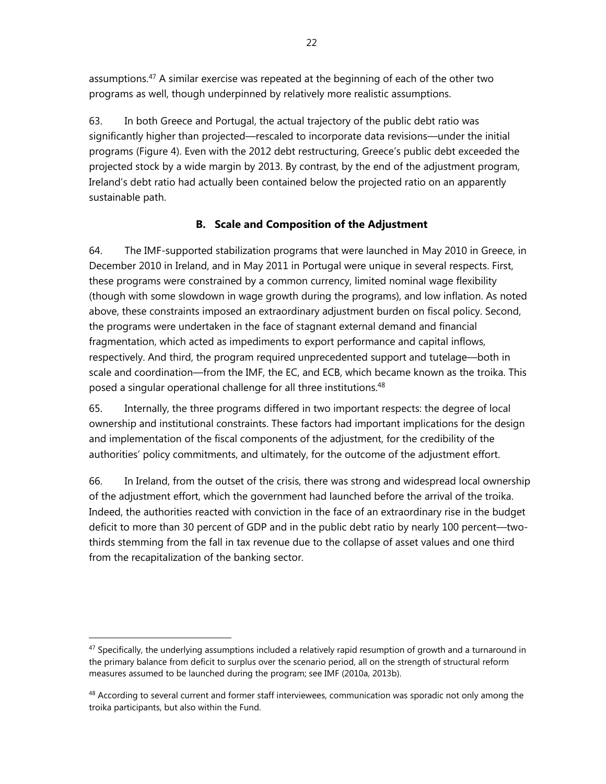assumptions.<sup>47</sup> A similar exercise was repeated at the beginning of each of the other two programs as well, though underpinned by relatively more realistic assumptions.

63. In both Greece and Portugal, the actual trajectory of the public debt ratio was significantly higher than projected—rescaled to incorporate data revisions—under the initial programs (Figure 4). Even with the 2012 debt restructuring, Greece's public debt exceeded the projected stock by a wide margin by 2013. By contrast, by the end of the adjustment program, Ireland's debt ratio had actually been contained below the projected ratio on an apparently sustainable path.

## **B. Scale and Composition of the Adjustment**

64. The IMF-supported stabilization programs that were launched in May 2010 in Greece, in December 2010 in Ireland, and in May 2011 in Portugal were unique in several respects. First, these programs were constrained by a common currency, limited nominal wage flexibility (though with some slowdown in wage growth during the programs), and low inflation. As noted above, these constraints imposed an extraordinary adjustment burden on fiscal policy. Second, the programs were undertaken in the face of stagnant external demand and financial fragmentation, which acted as impediments to export performance and capital inflows, respectively. And third, the program required unprecedented support and tutelage—both in scale and coordination—from the IMF, the EC, and ECB, which became known as the troika. This posed a singular operational challenge for all three institutions.<sup>48</sup>

65. Internally, the three programs differed in two important respects: the degree of local ownership and institutional constraints. These factors had important implications for the design and implementation of the fiscal components of the adjustment, for the credibility of the authorities' policy commitments, and ultimately, for the outcome of the adjustment effort.

66. In Ireland, from the outset of the crisis, there was strong and widespread local ownership of the adjustment effort, which the government had launched before the arrival of the troika. Indeed, the authorities reacted with conviction in the face of an extraordinary rise in the budget deficit to more than 30 percent of GDP and in the public debt ratio by nearly 100 percent—twothirds stemming from the fall in tax revenue due to the collapse of asset values and one third from the recapitalization of the banking sector.

 $47$  Specifically, the underlying assumptions included a relatively rapid resumption of growth and a turnaround in the primary balance from deficit to surplus over the scenario period, all on the strength of structural reform measures assumed to be launched during the program; see IMF (2010a, 2013b).

<sup>&</sup>lt;sup>48</sup> According to several current and former staff interviewees, communication was sporadic not only among the troika participants, but also within the Fund.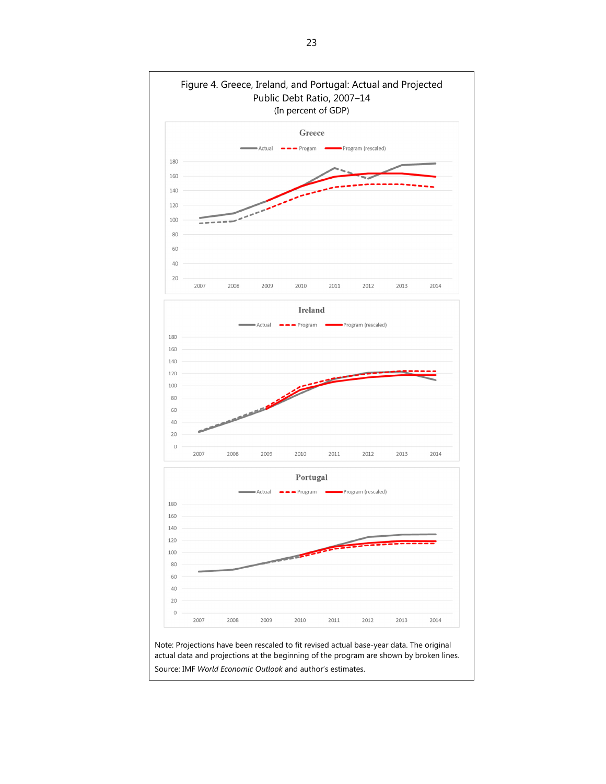

Source: IMF *World Economic Outlook* and author's estimates.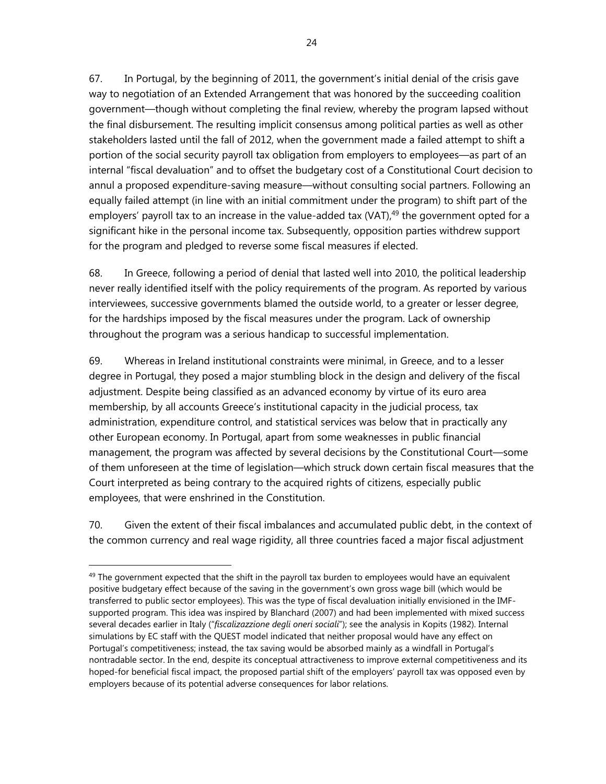67. In Portugal, by the beginning of 2011, the government's initial denial of the crisis gave way to negotiation of an Extended Arrangement that was honored by the succeeding coalition government—though without completing the final review, whereby the program lapsed without the final disbursement. The resulting implicit consensus among political parties as well as other stakeholders lasted until the fall of 2012, when the government made a failed attempt to shift a portion of the social security payroll tax obligation from employers to employees—as part of an internal "fiscal devaluation" and to offset the budgetary cost of a Constitutional Court decision to annul a proposed expenditure-saving measure—without consulting social partners. Following an equally failed attempt (in line with an initial commitment under the program) to shift part of the employers' payroll tax to an increase in the value-added tax (VAT), $49$  the government opted for a significant hike in the personal income tax. Subsequently, opposition parties withdrew support for the program and pledged to reverse some fiscal measures if elected.

68. In Greece, following a period of denial that lasted well into 2010, the political leadership never really identified itself with the policy requirements of the program. As reported by various interviewees, successive governments blamed the outside world, to a greater or lesser degree, for the hardships imposed by the fiscal measures under the program. Lack of ownership throughout the program was a serious handicap to successful implementation.

69. Whereas in Ireland institutional constraints were minimal, in Greece, and to a lesser degree in Portugal, they posed a major stumbling block in the design and delivery of the fiscal adjustment. Despite being classified as an advanced economy by virtue of its euro area membership, by all accounts Greece's institutional capacity in the judicial process, tax administration, expenditure control, and statistical services was below that in practically any other European economy. In Portugal, apart from some weaknesses in public financial management, the program was affected by several decisions by the Constitutional Court—some of them unforeseen at the time of legislation—which struck down certain fiscal measures that the Court interpreted as being contrary to the acquired rights of citizens, especially public employees, that were enshrined in the Constitution.

70. Given the extent of their fiscal imbalances and accumulated public debt, in the context of the common currency and real wage rigidity, all three countries faced a major fiscal adjustment

 $49$  The government expected that the shift in the payroll tax burden to employees would have an equivalent positive budgetary effect because of the saving in the government's own gross wage bill (which would be transferred to public sector employees). This was the type of fiscal devaluation initially envisioned in the IMFsupported program. This idea was inspired by Blanchard (2007) and had been implemented with mixed success several decades earlier in Italy ("*fiscalizazzione degli oneri sociali*"); see the analysis in Kopits (1982). Internal simulations by EC staff with the QUEST model indicated that neither proposal would have any effect on Portugal's competitiveness; instead, the tax saving would be absorbed mainly as a windfall in Portugal's nontradable sector. In the end, despite its conceptual attractiveness to improve external competitiveness and its hoped-for beneficial fiscal impact, the proposed partial shift of the employers' payroll tax was opposed even by employers because of its potential adverse consequences for labor relations.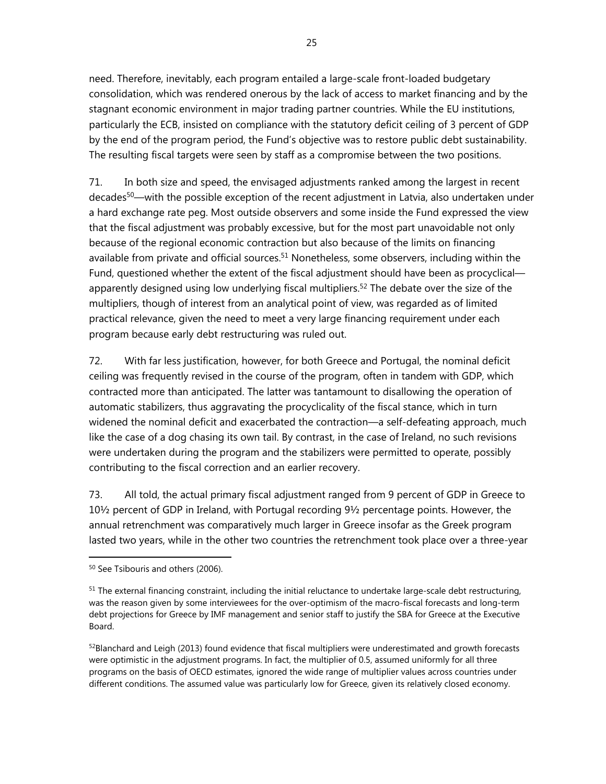need. Therefore, inevitably, each program entailed a large-scale front-loaded budgetary consolidation, which was rendered onerous by the lack of access to market financing and by the stagnant economic environment in major trading partner countries. While the EU institutions, particularly the ECB, insisted on compliance with the statutory deficit ceiling of 3 percent of GDP by the end of the program period, the Fund's objective was to restore public debt sustainability. The resulting fiscal targets were seen by staff as a compromise between the two positions.

71. In both size and speed, the envisaged adjustments ranked among the largest in recent decades<sup>50</sup>—with the possible exception of the recent adjustment in Latvia, also undertaken under a hard exchange rate peg. Most outside observers and some inside the Fund expressed the view that the fiscal adjustment was probably excessive, but for the most part unavoidable not only because of the regional economic contraction but also because of the limits on financing available from private and official sources.<sup>51</sup> Nonetheless, some observers, including within the Fund, questioned whether the extent of the fiscal adjustment should have been as procyclical apparently designed using low underlying fiscal multipliers.<sup>52</sup> The debate over the size of the multipliers, though of interest from an analytical point of view, was regarded as of limited practical relevance, given the need to meet a very large financing requirement under each program because early debt restructuring was ruled out.

72. With far less justification, however, for both Greece and Portugal, the nominal deficit ceiling was frequently revised in the course of the program, often in tandem with GDP, which contracted more than anticipated. The latter was tantamount to disallowing the operation of automatic stabilizers, thus aggravating the procyclicality of the fiscal stance, which in turn widened the nominal deficit and exacerbated the contraction—a self-defeating approach, much like the case of a dog chasing its own tail. By contrast, in the case of Ireland, no such revisions were undertaken during the program and the stabilizers were permitted to operate, possibly contributing to the fiscal correction and an earlier recovery.

73. All told, the actual primary fiscal adjustment ranged from 9 percent of GDP in Greece to 10½ percent of GDP in Ireland, with Portugal recording 9½ percentage points. However, the annual retrenchment was comparatively much larger in Greece insofar as the Greek program lasted two years, while in the other two countries the retrenchment took place over a three-year

<sup>50</sup> See Tsibouris and others (2006).

 $51$  The external financing constraint, including the initial reluctance to undertake large-scale debt restructuring, was the reason given by some interviewees for the over-optimism of the macro-fiscal forecasts and long-term debt projections for Greece by IMF management and senior staff to justify the SBA for Greece at the Executive Board.

 $52$ Blanchard and Leigh (2013) found evidence that fiscal multipliers were underestimated and growth forecasts were optimistic in the adjustment programs. In fact, the multiplier of 0.5, assumed uniformly for all three programs on the basis of OECD estimates, ignored the wide range of multiplier values across countries under different conditions. The assumed value was particularly low for Greece, given its relatively closed economy.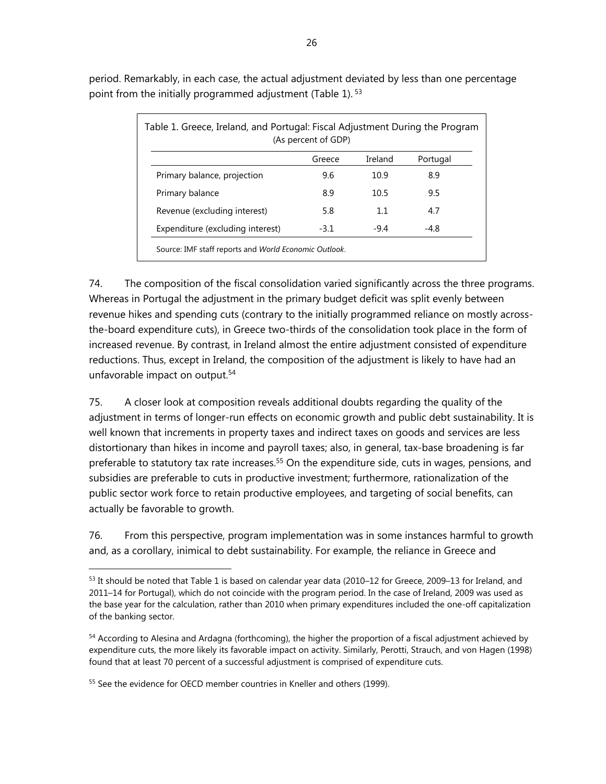| Table 1. Greece, Ireland, and Portugal: Fiscal Adjustment During the Program<br>(As percent of GDP) |        |         |          |  |
|-----------------------------------------------------------------------------------------------------|--------|---------|----------|--|
|                                                                                                     | Greece | Ireland | Portugal |  |
| Primary balance, projection                                                                         | 9.6    | 10.9    | 8.9      |  |
| Primary balance                                                                                     | 8.9    | 10.5    | 9.5      |  |
| Revenue (excluding interest)                                                                        | 5.8    | 1.1     | 4.7      |  |
| Expenditure (excluding interest)                                                                    | $-3.1$ | $-9.4$  | $-4.8$   |  |
| Source: IMF staff reports and World Economic Outlook.                                               |        |         |          |  |

period. Remarkably, in each case, the actual adjustment deviated by less than one percentage point from the initially programmed adjustment (Table 1).<sup>53</sup>

74. The composition of the fiscal consolidation varied significantly across the three programs. Whereas in Portugal the adjustment in the primary budget deficit was split evenly between revenue hikes and spending cuts (contrary to the initially programmed reliance on mostly acrossthe-board expenditure cuts), in Greece two-thirds of the consolidation took place in the form of increased revenue. By contrast, in Ireland almost the entire adjustment consisted of expenditure reductions. Thus, except in Ireland, the composition of the adjustment is likely to have had an unfavorable impact on output.54

75. A closer look at composition reveals additional doubts regarding the quality of the adjustment in terms of longer-run effects on economic growth and public debt sustainability. It is well known that increments in property taxes and indirect taxes on goods and services are less distortionary than hikes in income and payroll taxes; also, in general, tax-base broadening is far preferable to statutory tax rate increases.<sup>55</sup> On the expenditure side, cuts in wages, pensions, and subsidies are preferable to cuts in productive investment; furthermore, rationalization of the public sector work force to retain productive employees, and targeting of social benefits, can actually be favorable to growth.

76. From this perspective, program implementation was in some instances harmful to growth and, as a corollary, inimical to debt sustainability. For example, the reliance in Greece and

<sup>55</sup> See the evidence for OECD member countries in Kneller and others (1999).

<sup>53</sup> It should be noted that Table 1 is based on calendar year data (2010–12 for Greece, 2009–13 for Ireland, and 2011–14 for Portugal), which do not coincide with the program period. In the case of Ireland, 2009 was used as the base year for the calculation, rather than 2010 when primary expenditures included the one-off capitalization of the banking sector.

<sup>&</sup>lt;sup>54</sup> According to Alesina and Ardagna (forthcoming), the higher the proportion of a fiscal adjustment achieved by expenditure cuts, the more likely its favorable impact on activity. Similarly, Perotti, Strauch, and von Hagen (1998) found that at least 70 percent of a successful adjustment is comprised of expenditure cuts.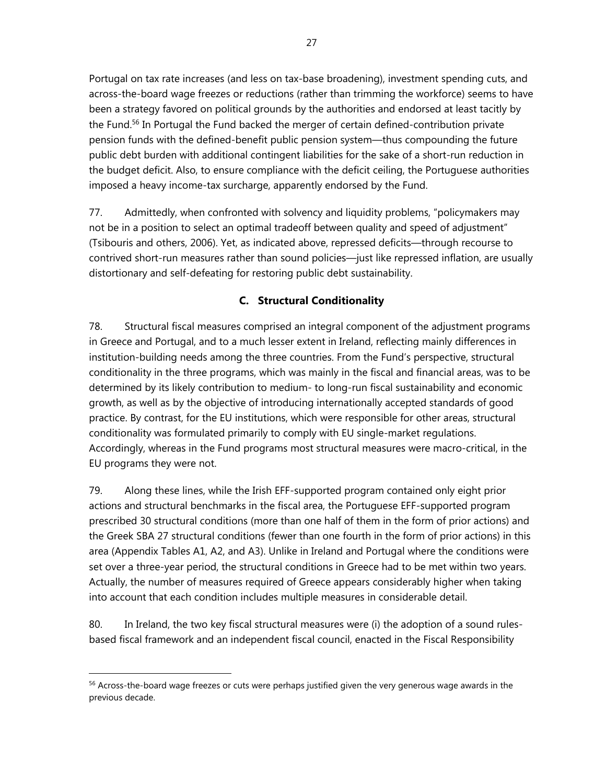Portugal on tax rate increases (and less on tax-base broadening), investment spending cuts, and across-the-board wage freezes or reductions (rather than trimming the workforce) seems to have been a strategy favored on political grounds by the authorities and endorsed at least tacitly by the Fund.<sup>56</sup> In Portugal the Fund backed the merger of certain defined-contribution private pension funds with the defined-benefit public pension system—thus compounding the future public debt burden with additional contingent liabilities for the sake of a short-run reduction in the budget deficit. Also, to ensure compliance with the deficit ceiling, the Portuguese authorities imposed a heavy income-tax surcharge, apparently endorsed by the Fund.

77. Admittedly, when confronted with solvency and liquidity problems, "policymakers may not be in a position to select an optimal tradeoff between quality and speed of adjustment" (Tsibouris and others, 2006). Yet, as indicated above, repressed deficits—through recourse to contrived short-run measures rather than sound policies—just like repressed inflation, are usually distortionary and self-defeating for restoring public debt sustainability.

## **C. Structural Conditionality**

78. Structural fiscal measures comprised an integral component of the adjustment programs in Greece and Portugal, and to a much lesser extent in Ireland, reflecting mainly differences in institution-building needs among the three countries. From the Fund's perspective, structural conditionality in the three programs, which was mainly in the fiscal and financial areas, was to be determined by its likely contribution to medium- to long-run fiscal sustainability and economic growth, as well as by the objective of introducing internationally accepted standards of good practice. By contrast, for the EU institutions, which were responsible for other areas, structural conditionality was formulated primarily to comply with EU single-market regulations. Accordingly, whereas in the Fund programs most structural measures were macro-critical, in the EU programs they were not.

79. Along these lines, while the Irish EFF-supported program contained only eight prior actions and structural benchmarks in the fiscal area, the Portuguese EFF-supported program prescribed 30 structural conditions (more than one half of them in the form of prior actions) and the Greek SBA 27 structural conditions (fewer than one fourth in the form of prior actions) in this area (Appendix Tables A1, A2, and A3). Unlike in Ireland and Portugal where the conditions were set over a three-year period, the structural conditions in Greece had to be met within two years. Actually, the number of measures required of Greece appears considerably higher when taking into account that each condition includes multiple measures in considerable detail.

80. In Ireland, the two key fiscal structural measures were (i) the adoption of a sound rulesbased fiscal framework and an independent fiscal council, enacted in the Fiscal Responsibility

<sup>&</sup>lt;sup>56</sup> Across-the-board wage freezes or cuts were perhaps justified given the very generous wage awards in the previous decade.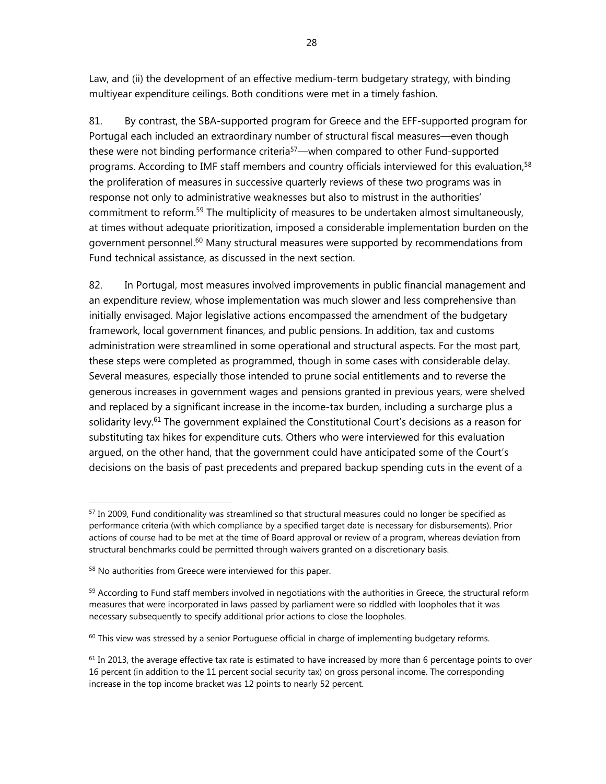Law, and (ii) the development of an effective medium-term budgetary strategy, with binding multiyear expenditure ceilings. Both conditions were met in a timely fashion.

81. By contrast, the SBA-supported program for Greece and the EFF-supported program for Portugal each included an extraordinary number of structural fiscal measures—even though these were not binding performance criteria<sup>57</sup>—when compared to other Fund-supported programs. According to IMF staff members and country officials interviewed for this evaluation,<sup>58</sup> the proliferation of measures in successive quarterly reviews of these two programs was in response not only to administrative weaknesses but also to mistrust in the authorities' commitment to reform.<sup>59</sup> The multiplicity of measures to be undertaken almost simultaneously, at times without adequate prioritization, imposed a considerable implementation burden on the government personnel.<sup>60</sup> Many structural measures were supported by recommendations from Fund technical assistance, as discussed in the next section.

82. In Portugal, most measures involved improvements in public financial management and an expenditure review, whose implementation was much slower and less comprehensive than initially envisaged. Major legislative actions encompassed the amendment of the budgetary framework, local government finances, and public pensions. In addition, tax and customs administration were streamlined in some operational and structural aspects. For the most part, these steps were completed as programmed, though in some cases with considerable delay. Several measures, especially those intended to prune social entitlements and to reverse the generous increases in government wages and pensions granted in previous years, were shelved and replaced by a significant increase in the income-tax burden, including a surcharge plus a solidarity levy.<sup>61</sup> The government explained the Constitutional Court's decisions as a reason for substituting tax hikes for expenditure cuts. Others who were interviewed for this evaluation argued, on the other hand, that the government could have anticipated some of the Court's decisions on the basis of past precedents and prepared backup spending cuts in the event of a

<sup>57</sup> In 2009, Fund conditionality was streamlined so that structural measures could no longer be specified as performance criteria (with which compliance by a specified target date is necessary for disbursements). Prior actions of course had to be met at the time of Board approval or review of a program, whereas deviation from structural benchmarks could be permitted through waivers granted on a discretionary basis.

<sup>58</sup> No authorities from Greece were interviewed for this paper.

 $59$  According to Fund staff members involved in negotiations with the authorities in Greece, the structural reform measures that were incorporated in laws passed by parliament were so riddled with loopholes that it was necessary subsequently to specify additional prior actions to close the loopholes.

 $60$  This view was stressed by a senior Portuguese official in charge of implementing budgetary reforms.

 $61$  In 2013, the average effective tax rate is estimated to have increased by more than 6 percentage points to over 16 percent (in addition to the 11 percent social security tax) on gross personal income. The corresponding increase in the top income bracket was 12 points to nearly 52 percent.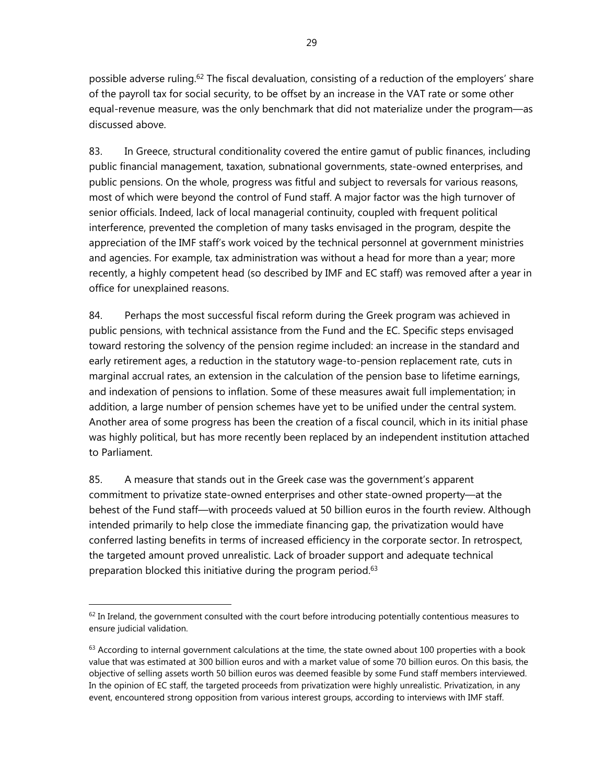possible adverse ruling.<sup>62</sup> The fiscal devaluation, consisting of a reduction of the employers' share of the payroll tax for social security, to be offset by an increase in the VAT rate or some other equal-revenue measure, was the only benchmark that did not materialize under the program—as discussed above.

83. In Greece, structural conditionality covered the entire gamut of public finances, including public financial management, taxation, subnational governments, state-owned enterprises, and public pensions. On the whole, progress was fitful and subject to reversals for various reasons, most of which were beyond the control of Fund staff. A major factor was the high turnover of senior officials. Indeed, lack of local managerial continuity, coupled with frequent political interference, prevented the completion of many tasks envisaged in the program, despite the appreciation of the IMF staff's work voiced by the technical personnel at government ministries and agencies. For example, tax administration was without a head for more than a year; more recently, a highly competent head (so described by IMF and EC staff) was removed after a year in office for unexplained reasons.

84. Perhaps the most successful fiscal reform during the Greek program was achieved in public pensions, with technical assistance from the Fund and the EC. Specific steps envisaged toward restoring the solvency of the pension regime included: an increase in the standard and early retirement ages, a reduction in the statutory wage-to-pension replacement rate, cuts in marginal accrual rates, an extension in the calculation of the pension base to lifetime earnings, and indexation of pensions to inflation. Some of these measures await full implementation; in addition, a large number of pension schemes have yet to be unified under the central system. Another area of some progress has been the creation of a fiscal council, which in its initial phase was highly political, but has more recently been replaced by an independent institution attached to Parliament.

85. A measure that stands out in the Greek case was the government's apparent commitment to privatize state-owned enterprises and other state-owned property—at the behest of the Fund staff—with proceeds valued at 50 billion euros in the fourth review. Although intended primarily to help close the immediate financing gap, the privatization would have conferred lasting benefits in terms of increased efficiency in the corporate sector. In retrospect, the targeted amount proved unrealistic. Lack of broader support and adequate technical preparation blocked this initiative during the program period.<sup>63</sup>

 $62$  In Ireland, the government consulted with the court before introducing potentially contentious measures to ensure judicial validation.

 $63$  According to internal government calculations at the time, the state owned about 100 properties with a book value that was estimated at 300 billion euros and with a market value of some 70 billion euros. On this basis, the objective of selling assets worth 50 billion euros was deemed feasible by some Fund staff members interviewed. In the opinion of EC staff, the targeted proceeds from privatization were highly unrealistic. Privatization, in any event, encountered strong opposition from various interest groups, according to interviews with IMF staff.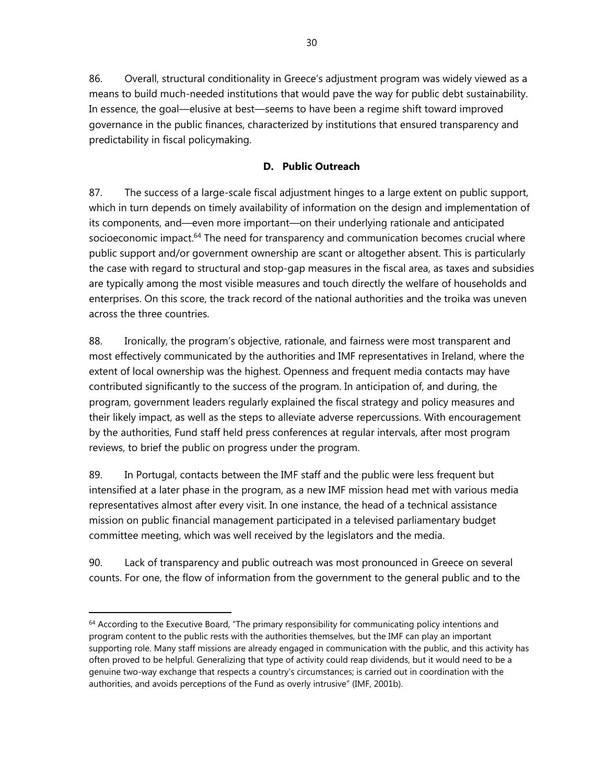86. Overall, structural conditionality in Greece's adjustment program was widely viewed as a means to build much-needed institutions that would pave the way for public debt sustainability. In essence, the goal—elusive at best—seems to have been a regime shift toward improved governance in the public finances, characterized by institutions that ensured transparency and predictability in fiscal policymaking.

## **D. Public Outreach**

87. The success of a large-scale fiscal adjustment hinges to a large extent on public support, which in turn depends on timely availability of information on the design and implementation of its components, and—even more important—on their underlying rationale and anticipated socioeconomic impact.<sup>64</sup> The need for transparency and communication becomes crucial where public support and/or government ownership are scant or altogether absent. This is particularly the case with regard to structural and stop-gap measures in the fiscal area, as taxes and subsidies are typically among the most visible measures and touch directly the welfare of households and enterprises. On this score, the track record of the national authorities and the troika was uneven across the three countries.

88. Ironically, the program's objective, rationale, and fairness were most transparent and most effectively communicated by the authorities and IMF representatives in Ireland, where the extent of local ownership was the highest. Openness and frequent media contacts may have contributed significantly to the success of the program. In anticipation of, and during, the program, government leaders regularly explained the fiscal strategy and policy measures and their likely impact, as well as the steps to alleviate adverse repercussions. With encouragement by the authorities, Fund staff held press conferences at regular intervals, after most program reviews, to brief the public on progress under the program.

89. In Portugal, contacts between the IMF staff and the public were less frequent but intensified at a later phase in the program, as a new IMF mission head met with various media representatives almost after every visit. In one instance, the head of a technical assistance mission on public financial management participated in a televised parliamentary budget committee meeting, which was well received by the legislators and the media.

90. Lack of transparency and public outreach was most pronounced in Greece on several counts. For one, the flow of information from the government to the general public and to the

 $64$  According to the Executive Board, "The primary responsibility for communicating policy intentions and program content to the public rests with the authorities themselves, but the IMF can play an important supporting role. Many staff missions are already engaged in communication with the public, and this activity has often proved to be helpful. Generalizing that type of activity could reap dividends, but it would need to be a genuine two-way exchange that respects a country's circumstances; is carried out in coordination with the authorities, and avoids perceptions of the Fund as overly intrusive" (IMF, 2001b).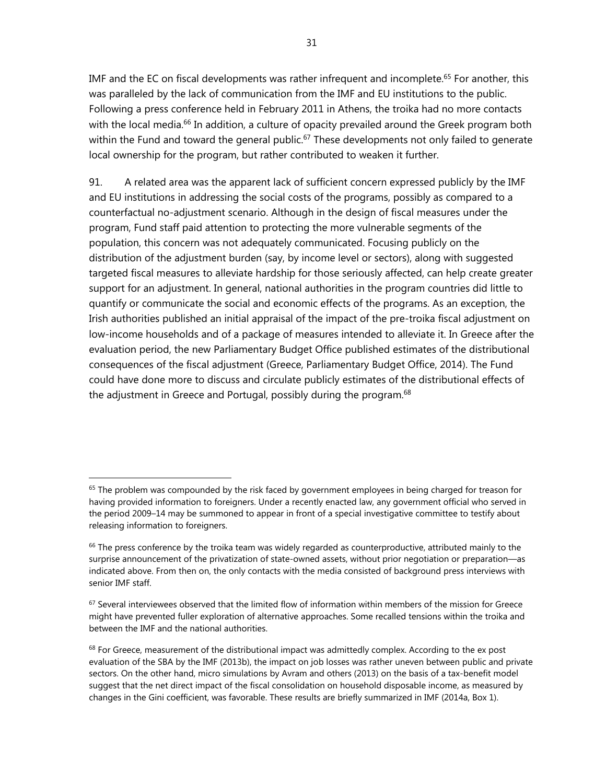IMF and the EC on fiscal developments was rather infrequent and incomplete.<sup>65</sup> For another, this was paralleled by the lack of communication from the IMF and EU institutions to the public. Following a press conference held in February 2011 in Athens, the troika had no more contacts with the local media.<sup>66</sup> In addition, a culture of opacity prevailed around the Greek program both within the Fund and toward the general public.<sup>67</sup> These developments not only failed to generate local ownership for the program, but rather contributed to weaken it further.

91. A related area was the apparent lack of sufficient concern expressed publicly by the IMF and EU institutions in addressing the social costs of the programs, possibly as compared to a counterfactual no-adjustment scenario. Although in the design of fiscal measures under the program, Fund staff paid attention to protecting the more vulnerable segments of the population, this concern was not adequately communicated. Focusing publicly on the distribution of the adjustment burden (say, by income level or sectors), along with suggested targeted fiscal measures to alleviate hardship for those seriously affected, can help create greater support for an adjustment. In general, national authorities in the program countries did little to quantify or communicate the social and economic effects of the programs. As an exception, the Irish authorities published an initial appraisal of the impact of the pre-troika fiscal adjustment on low-income households and of a package of measures intended to alleviate it. In Greece after the evaluation period, the new Parliamentary Budget Office published estimates of the distributional consequences of the fiscal adjustment (Greece, Parliamentary Budget Office, 2014). The Fund could have done more to discuss and circulate publicly estimates of the distributional effects of the adjustment in Greece and Portugal, possibly during the program.<sup>68</sup>

 $65$  The problem was compounded by the risk faced by government employees in being charged for treason for having provided information to foreigners. Under a recently enacted law, any government official who served in the period 2009–14 may be summoned to appear in front of a special investigative committee to testify about releasing information to foreigners.

 $66$  The press conference by the troika team was widely regarded as counterproductive, attributed mainly to the surprise announcement of the privatization of state-owned assets, without prior negotiation or preparation—as indicated above. From then on, the only contacts with the media consisted of background press interviews with senior IMF staff.

<sup>&</sup>lt;sup>67</sup> Several interviewees observed that the limited flow of information within members of the mission for Greece might have prevented fuller exploration of alternative approaches. Some recalled tensions within the troika and between the IMF and the national authorities.

 $68$  For Greece, measurement of the distributional impact was admittedly complex. According to the ex post evaluation of the SBA by the IMF (2013b), the impact on job losses was rather uneven between public and private sectors. On the other hand, micro simulations by Avram and others (2013) on the basis of a tax-benefit model suggest that the net direct impact of the fiscal consolidation on household disposable income, as measured by changes in the Gini coefficient, was favorable. These results are briefly summarized in IMF (2014a, Box 1).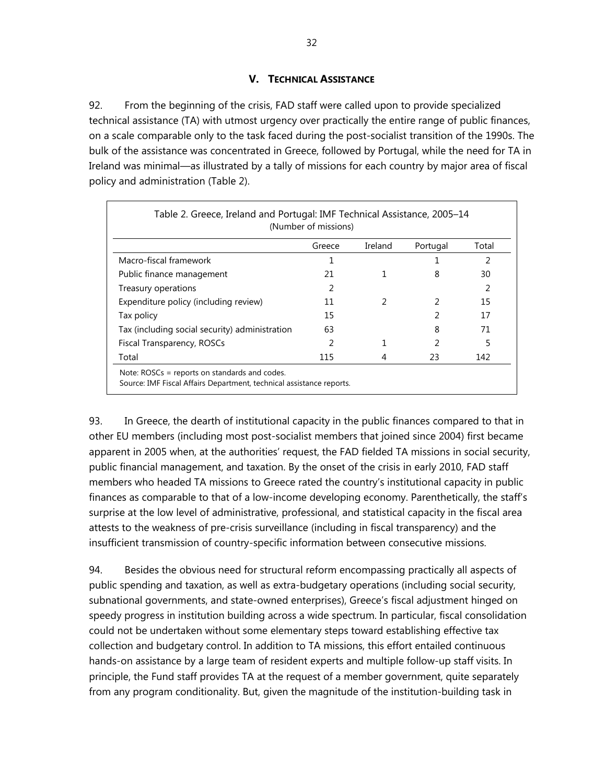## **V. TECHNICAL ASSISTANCE**

92. From the beginning of the crisis, FAD staff were called upon to provide specialized technical assistance (TA) with utmost urgency over practically the entire range of public finances, on a scale comparable only to the task faced during the post-socialist transition of the 1990s. The bulk of the assistance was concentrated in Greece, followed by Portugal, while the need for TA in Ireland was minimal—as illustrated by a tally of missions for each country by major area of fiscal policy and administration (Table 2).

| Table 2. Greece, Ireland and Portugal: IMF Technical Assistance, 2005–14<br>(Number of missions)                      |        |         |          |       |
|-----------------------------------------------------------------------------------------------------------------------|--------|---------|----------|-------|
|                                                                                                                       | Greece | Ireland | Portugal | Total |
| Macro-fiscal framework                                                                                                |        |         |          | 2     |
| Public finance management                                                                                             | 21     |         | 8        | 30    |
| Treasury operations                                                                                                   | 2      |         |          | 2     |
| Expenditure policy (including review)                                                                                 | 11     |         |          | 15    |
| Tax policy                                                                                                            | 15     |         | 2        | 17    |
| Tax (including social security) administration                                                                        | 63     |         | 8        | 71    |
| Fiscal Transparency, ROSCs                                                                                            | 2      |         |          | 5     |
| Total                                                                                                                 | 115    | 4       | 23       | 142   |
| Note: ROSCs = reports on standards and codes.<br>Source: IMF Fiscal Affairs Department, technical assistance reports. |        |         |          |       |

93. In Greece, the dearth of institutional capacity in the public finances compared to that in other EU members (including most post-socialist members that joined since 2004) first became apparent in 2005 when, at the authorities' request, the FAD fielded TA missions in social security, public financial management, and taxation. By the onset of the crisis in early 2010, FAD staff members who headed TA missions to Greece rated the country's institutional capacity in public finances as comparable to that of a low-income developing economy. Parenthetically, the staff's surprise at the low level of administrative, professional, and statistical capacity in the fiscal area attests to the weakness of pre-crisis surveillance (including in fiscal transparency) and the insufficient transmission of country-specific information between consecutive missions.

94. Besides the obvious need for structural reform encompassing practically all aspects of public spending and taxation, as well as extra-budgetary operations (including social security, subnational governments, and state-owned enterprises), Greece's fiscal adjustment hinged on speedy progress in institution building across a wide spectrum. In particular, fiscal consolidation could not be undertaken without some elementary steps toward establishing effective tax collection and budgetary control. In addition to TA missions, this effort entailed continuous hands-on assistance by a large team of resident experts and multiple follow-up staff visits. In principle, the Fund staff provides TA at the request of a member government, quite separately from any program conditionality. But, given the magnitude of the institution-building task in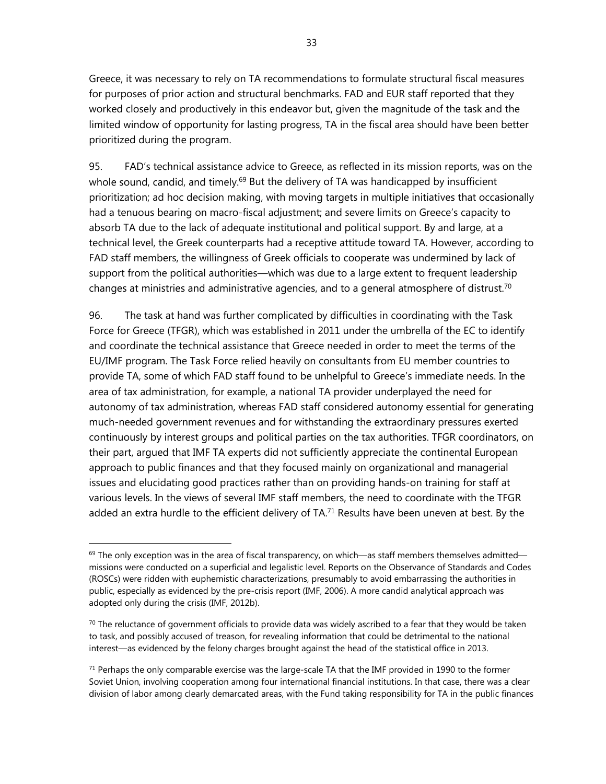Greece, it was necessary to rely on TA recommendations to formulate structural fiscal measures for purposes of prior action and structural benchmarks. FAD and EUR staff reported that they worked closely and productively in this endeavor but, given the magnitude of the task and the limited window of opportunity for lasting progress, TA in the fiscal area should have been better prioritized during the program.

95. FAD's technical assistance advice to Greece, as reflected in its mission reports, was on the whole sound, candid, and timely.<sup>69</sup> But the delivery of TA was handicapped by insufficient prioritization; ad hoc decision making, with moving targets in multiple initiatives that occasionally had a tenuous bearing on macro-fiscal adjustment; and severe limits on Greece's capacity to absorb TA due to the lack of adequate institutional and political support. By and large, at a technical level, the Greek counterparts had a receptive attitude toward TA. However, according to FAD staff members, the willingness of Greek officials to cooperate was undermined by lack of support from the political authorities—which was due to a large extent to frequent leadership changes at ministries and administrative agencies, and to a general atmosphere of distrust.<sup>70</sup>

96. The task at hand was further complicated by difficulties in coordinating with the Task Force for Greece (TFGR), which was established in 2011 under the umbrella of the EC to identify and coordinate the technical assistance that Greece needed in order to meet the terms of the EU/IMF program. The Task Force relied heavily on consultants from EU member countries to provide TA, some of which FAD staff found to be unhelpful to Greece's immediate needs. In the area of tax administration, for example, a national TA provider underplayed the need for autonomy of tax administration, whereas FAD staff considered autonomy essential for generating much-needed government revenues and for withstanding the extraordinary pressures exerted continuously by interest groups and political parties on the tax authorities. TFGR coordinators, on their part, argued that IMF TA experts did not sufficiently appreciate the continental European approach to public finances and that they focused mainly on organizational and managerial issues and elucidating good practices rather than on providing hands-on training for staff at various levels. In the views of several IMF staff members, the need to coordinate with the TFGR added an extra hurdle to the efficient delivery of TA.<sup>71</sup> Results have been uneven at best. By the

 $69$  The only exception was in the area of fiscal transparency, on which—as staff members themselves admitted missions were conducted on a superficial and legalistic level. Reports on the Observance of Standards and Codes (ROSCs) were ridden with euphemistic characterizations, presumably to avoid embarrassing the authorities in public, especially as evidenced by the pre-crisis report (IMF, 2006). A more candid analytical approach was adopted only during the crisis (IMF, 2012b).

 $70$  The reluctance of government officials to provide data was widely ascribed to a fear that they would be taken to task, and possibly accused of treason, for revealing information that could be detrimental to the national interest—as evidenced by the felony charges brought against the head of the statistical office in 2013.

 $71$  Perhaps the only comparable exercise was the large-scale TA that the IMF provided in 1990 to the former Soviet Union, involving cooperation among four international financial institutions. In that case, there was a clear division of labor among clearly demarcated areas, with the Fund taking responsibility for TA in the public finances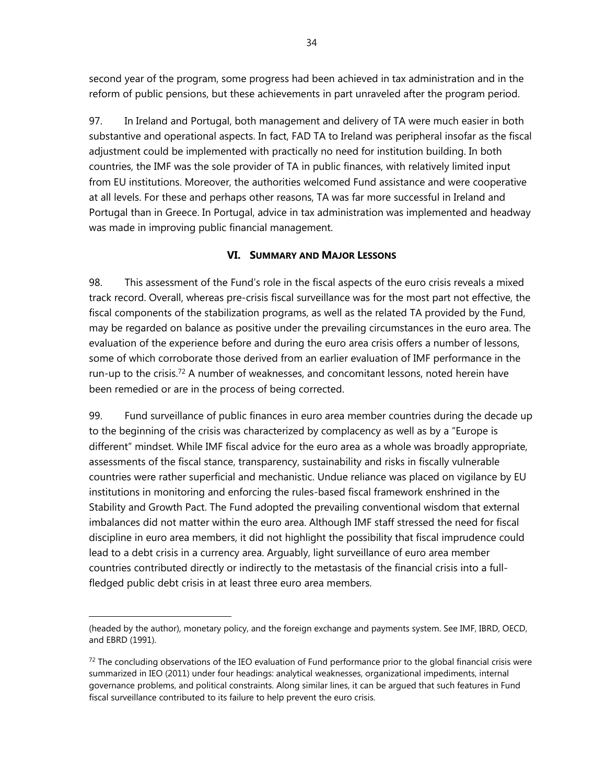second year of the program, some progress had been achieved in tax administration and in the reform of public pensions, but these achievements in part unraveled after the program period.

97. In Ireland and Portugal, both management and delivery of TA were much easier in both substantive and operational aspects. In fact, FAD TA to Ireland was peripheral insofar as the fiscal adjustment could be implemented with practically no need for institution building. In both countries, the IMF was the sole provider of TA in public finances, with relatively limited input from EU institutions. Moreover, the authorities welcomed Fund assistance and were cooperative at all levels. For these and perhaps other reasons, TA was far more successful in Ireland and Portugal than in Greece. In Portugal, advice in tax administration was implemented and headway was made in improving public financial management.

## **VI. SUMMARY AND MAJOR LESSONS**

98. This assessment of the Fund's role in the fiscal aspects of the euro crisis reveals a mixed track record. Overall, whereas pre-crisis fiscal surveillance was for the most part not effective, the fiscal components of the stabilization programs, as well as the related TA provided by the Fund, may be regarded on balance as positive under the prevailing circumstances in the euro area. The evaluation of the experience before and during the euro area crisis offers a number of lessons, some of which corroborate those derived from an earlier evaluation of IMF performance in the run-up to the crisis.<sup>72</sup> A number of weaknesses, and concomitant lessons, noted herein have been remedied or are in the process of being corrected.

99. Fund surveillance of public finances in euro area member countries during the decade up to the beginning of the crisis was characterized by complacency as well as by a "Europe is different" mindset. While IMF fiscal advice for the euro area as a whole was broadly appropriate, assessments of the fiscal stance, transparency, sustainability and risks in fiscally vulnerable countries were rather superficial and mechanistic. Undue reliance was placed on vigilance by EU institutions in monitoring and enforcing the rules-based fiscal framework enshrined in the Stability and Growth Pact. The Fund adopted the prevailing conventional wisdom that external imbalances did not matter within the euro area. Although IMF staff stressed the need for fiscal discipline in euro area members, it did not highlight the possibility that fiscal imprudence could lead to a debt crisis in a currency area. Arguably, light surveillance of euro area member countries contributed directly or indirectly to the metastasis of the financial crisis into a fullfledged public debt crisis in at least three euro area members.

 $\overline{a}$ (headed by the author), monetary policy, and the foreign exchange and payments system. See IMF, IBRD, OECD, and EBRD (1991).

 $72$  The concluding observations of the IEO evaluation of Fund performance prior to the global financial crisis were summarized in IEO (2011) under four headings: analytical weaknesses, organizational impediments, internal governance problems, and political constraints. Along similar lines, it can be argued that such features in Fund fiscal surveillance contributed to its failure to help prevent the euro crisis.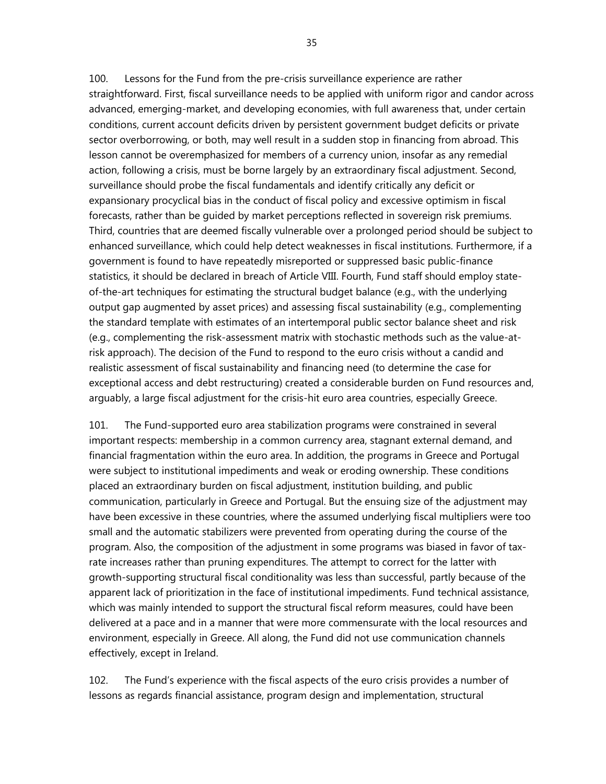100. Lessons for the Fund from the pre-crisis surveillance experience are rather straightforward. First, fiscal surveillance needs to be applied with uniform rigor and candor across advanced, emerging-market, and developing economies, with full awareness that, under certain conditions, current account deficits driven by persistent government budget deficits or private sector overborrowing, or both, may well result in a sudden stop in financing from abroad. This lesson cannot be overemphasized for members of a currency union, insofar as any remedial action, following a crisis, must be borne largely by an extraordinary fiscal adjustment. Second, surveillance should probe the fiscal fundamentals and identify critically any deficit or expansionary procyclical bias in the conduct of fiscal policy and excessive optimism in fiscal forecasts, rather than be guided by market perceptions reflected in sovereign risk premiums. Third, countries that are deemed fiscally vulnerable over a prolonged period should be subject to enhanced surveillance, which could help detect weaknesses in fiscal institutions. Furthermore, if a government is found to have repeatedly misreported or suppressed basic public-finance statistics, it should be declared in breach of Article VIII. Fourth, Fund staff should employ stateof-the-art techniques for estimating the structural budget balance (e.g., with the underlying output gap augmented by asset prices) and assessing fiscal sustainability (e.g., complementing the standard template with estimates of an intertemporal public sector balance sheet and risk (e.g., complementing the risk-assessment matrix with stochastic methods such as the value-atrisk approach). The decision of the Fund to respond to the euro crisis without a candid and realistic assessment of fiscal sustainability and financing need (to determine the case for exceptional access and debt restructuring) created a considerable burden on Fund resources and, arguably, a large fiscal adjustment for the crisis-hit euro area countries, especially Greece.

101. The Fund-supported euro area stabilization programs were constrained in several important respects: membership in a common currency area, stagnant external demand, and financial fragmentation within the euro area. In addition, the programs in Greece and Portugal were subject to institutional impediments and weak or eroding ownership. These conditions placed an extraordinary burden on fiscal adjustment, institution building, and public communication, particularly in Greece and Portugal. But the ensuing size of the adjustment may have been excessive in these countries, where the assumed underlying fiscal multipliers were too small and the automatic stabilizers were prevented from operating during the course of the program. Also, the composition of the adjustment in some programs was biased in favor of taxrate increases rather than pruning expenditures. The attempt to correct for the latter with growth-supporting structural fiscal conditionality was less than successful, partly because of the apparent lack of prioritization in the face of institutional impediments. Fund technical assistance, which was mainly intended to support the structural fiscal reform measures, could have been delivered at a pace and in a manner that were more commensurate with the local resources and environment, especially in Greece. All along, the Fund did not use communication channels effectively, except in Ireland.

102. The Fund's experience with the fiscal aspects of the euro crisis provides a number of lessons as regards financial assistance, program design and implementation, structural

35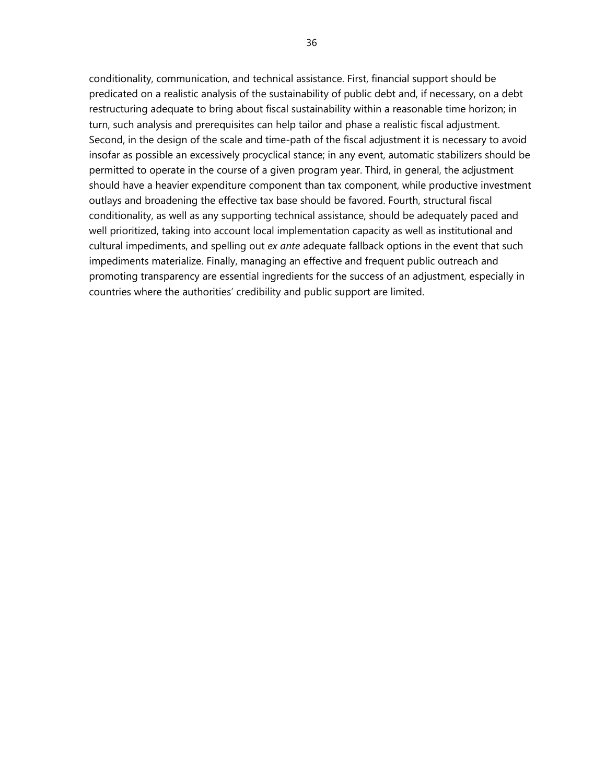conditionality, communication, and technical assistance. First, financial support should be predicated on a realistic analysis of the sustainability of public debt and, if necessary, on a debt restructuring adequate to bring about fiscal sustainability within a reasonable time horizon; in turn, such analysis and prerequisites can help tailor and phase a realistic fiscal adjustment. Second, in the design of the scale and time-path of the fiscal adjustment it is necessary to avoid insofar as possible an excessively procyclical stance; in any event, automatic stabilizers should be permitted to operate in the course of a given program year. Third, in general, the adjustment should have a heavier expenditure component than tax component, while productive investment outlays and broadening the effective tax base should be favored. Fourth, structural fiscal conditionality, as well as any supporting technical assistance, should be adequately paced and well prioritized, taking into account local implementation capacity as well as institutional and cultural impediments, and spelling out *ex ante* adequate fallback options in the event that such impediments materialize. Finally, managing an effective and frequent public outreach and promoting transparency are essential ingredients for the success of an adjustment, especially in countries where the authorities' credibility and public support are limited.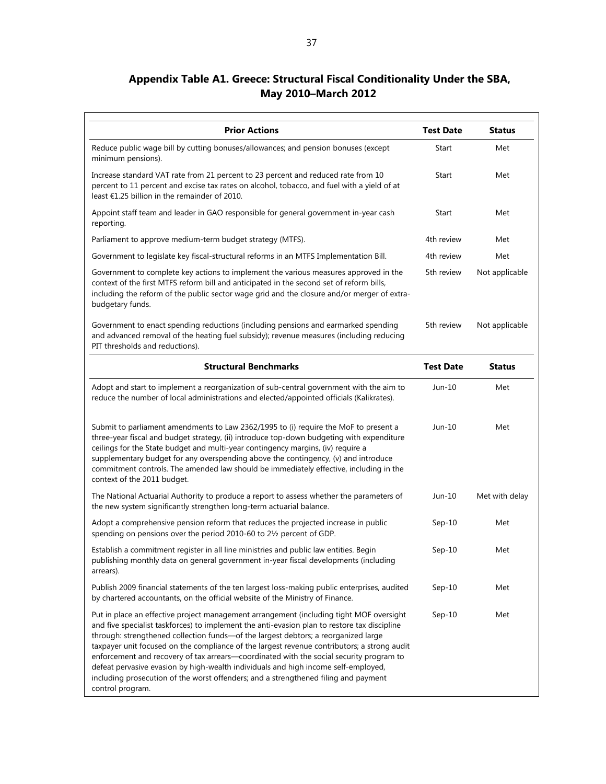# **Appendix Table A1. Greece: Structural Fiscal Conditionality Under the SBA, May 2010–March 2012**

| <b>Prior Actions</b>                                                                                                                                                                                                                                                                                                                                                                                                                                                                                                                                                                                                                                                     | <b>Test Date</b> | <b>Status</b>  |
|--------------------------------------------------------------------------------------------------------------------------------------------------------------------------------------------------------------------------------------------------------------------------------------------------------------------------------------------------------------------------------------------------------------------------------------------------------------------------------------------------------------------------------------------------------------------------------------------------------------------------------------------------------------------------|------------------|----------------|
| Reduce public wage bill by cutting bonuses/allowances; and pension bonuses (except<br>minimum pensions).                                                                                                                                                                                                                                                                                                                                                                                                                                                                                                                                                                 | Start            | Met            |
| Increase standard VAT rate from 21 percent to 23 percent and reduced rate from 10<br>percent to 11 percent and excise tax rates on alcohol, tobacco, and fuel with a yield of at<br>least $E1.25$ billion in the remainder of 2010.                                                                                                                                                                                                                                                                                                                                                                                                                                      | Start            | Met            |
| Appoint staff team and leader in GAO responsible for general government in-year cash<br>reporting.                                                                                                                                                                                                                                                                                                                                                                                                                                                                                                                                                                       | Start            | Met            |
| Parliament to approve medium-term budget strategy (MTFS).                                                                                                                                                                                                                                                                                                                                                                                                                                                                                                                                                                                                                | 4th review       | Met            |
| Government to legislate key fiscal-structural reforms in an MTFS Implementation Bill.                                                                                                                                                                                                                                                                                                                                                                                                                                                                                                                                                                                    | 4th review       | Met            |
| Government to complete key actions to implement the various measures approved in the<br>context of the first MTFS reform bill and anticipated in the second set of reform bills,<br>including the reform of the public sector wage grid and the closure and/or merger of extra-<br>budgetary funds.                                                                                                                                                                                                                                                                                                                                                                      | 5th review       | Not applicable |
| Government to enact spending reductions (including pensions and earmarked spending<br>and advanced removal of the heating fuel subsidy); revenue measures (including reducing<br>PIT thresholds and reductions).                                                                                                                                                                                                                                                                                                                                                                                                                                                         | 5th review       | Not applicable |
| <b>Structural Benchmarks</b>                                                                                                                                                                                                                                                                                                                                                                                                                                                                                                                                                                                                                                             | <b>Test Date</b> | <b>Status</b>  |
| Adopt and start to implement a reorganization of sub-central government with the aim to<br>reduce the number of local administrations and elected/appointed officials (Kalikrates).                                                                                                                                                                                                                                                                                                                                                                                                                                                                                      | Jun-10           | Met            |
| Submit to parliament amendments to Law 2362/1995 to (i) require the MoF to present a<br>three-year fiscal and budget strategy, (ii) introduce top-down budgeting with expenditure<br>ceilings for the State budget and multi-year contingency margins, (iv) require a<br>supplementary budget for any overspending above the contingency, (v) and introduce<br>commitment controls. The amended law should be immediately effective, including in the<br>context of the 2011 budget.                                                                                                                                                                                     | Jun-10           | Met            |
| The National Actuarial Authority to produce a report to assess whether the parameters of<br>the new system significantly strengthen long-term actuarial balance.                                                                                                                                                                                                                                                                                                                                                                                                                                                                                                         | Jun-10           | Met with delay |
| Adopt a comprehensive pension reform that reduces the projected increase in public<br>spending on pensions over the period 2010-60 to 21/2 percent of GDP.                                                                                                                                                                                                                                                                                                                                                                                                                                                                                                               | $Sep-10$         | Met            |
| Establish a commitment register in all line ministries and public law entities. Begin<br>publishing monthly data on general government in-year fiscal developments (including<br>arrears).                                                                                                                                                                                                                                                                                                                                                                                                                                                                               | $Sep-10$         | Met            |
| Publish 2009 financial statements of the ten largest loss-making public enterprises, audited<br>by chartered accountants, on the official website of the Ministry of Finance.                                                                                                                                                                                                                                                                                                                                                                                                                                                                                            | $Sep-10$         | Met            |
| Put in place an effective project management arrangement (including tight MOF oversight<br>and five specialist taskforces) to implement the anti-evasion plan to restore tax discipline<br>through: strengthened collection funds-of the largest debtors; a reorganized large<br>taxpayer unit focused on the compliance of the largest revenue contributors; a strong audit<br>enforcement and recovery of tax arrears-coordinated with the social security program to<br>defeat pervasive evasion by high-wealth individuals and high income self-employed,<br>including prosecution of the worst offenders; and a strengthened filing and payment<br>control program. | $Sep-10$         | Met            |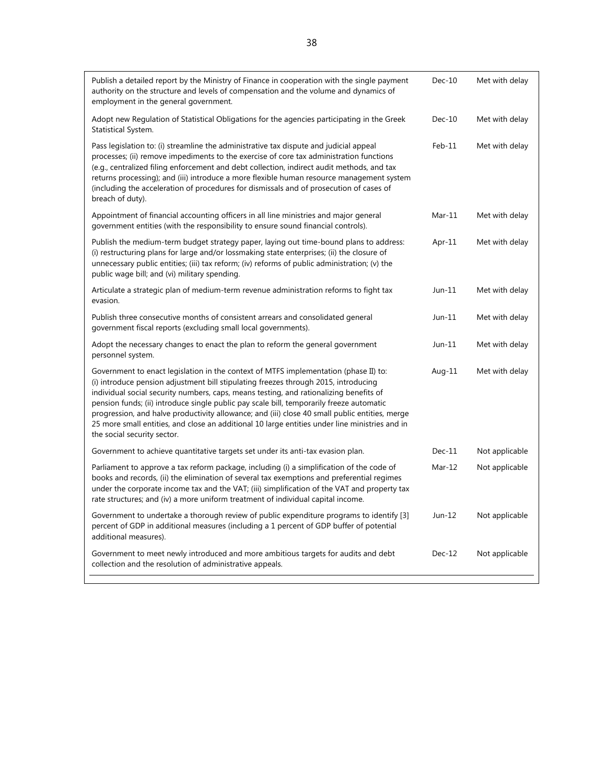| Publish a detailed report by the Ministry of Finance in cooperation with the single payment<br>authority on the structure and levels of compensation and the volume and dynamics of<br>employment in the general government.                                                                                                                                                                                                                                                                                                                                                                         | $Dec-10$ | Met with delay |
|------------------------------------------------------------------------------------------------------------------------------------------------------------------------------------------------------------------------------------------------------------------------------------------------------------------------------------------------------------------------------------------------------------------------------------------------------------------------------------------------------------------------------------------------------------------------------------------------------|----------|----------------|
| Adopt new Regulation of Statistical Obligations for the agencies participating in the Greek<br>Statistical System.                                                                                                                                                                                                                                                                                                                                                                                                                                                                                   | $Dec-10$ | Met with delay |
| Pass legislation to: (i) streamline the administrative tax dispute and judicial appeal<br>processes; (ii) remove impediments to the exercise of core tax administration functions<br>(e.g., centralized filing enforcement and debt collection, indirect audit methods, and tax<br>returns processing); and (iii) introduce a more flexible human resource management system<br>(including the acceleration of procedures for dismissals and of prosecution of cases of<br>breach of duty).                                                                                                          | $Feb-11$ | Met with delay |
| Appointment of financial accounting officers in all line ministries and major general<br>government entities (with the responsibility to ensure sound financial controls).                                                                                                                                                                                                                                                                                                                                                                                                                           | $Mar-11$ | Met with delay |
| Publish the medium-term budget strategy paper, laying out time-bound plans to address:<br>(i) restructuring plans for large and/or lossmaking state enterprises; (ii) the closure of<br>unnecessary public entities; (iii) tax reform; (iv) reforms of public administration; (v) the<br>public wage bill; and (vi) military spending.                                                                                                                                                                                                                                                               | Apr-11   | Met with delay |
| Articulate a strategic plan of medium-term revenue administration reforms to fight tax<br>evasion.                                                                                                                                                                                                                                                                                                                                                                                                                                                                                                   | $Jun-11$ | Met with delay |
| Publish three consecutive months of consistent arrears and consolidated general<br>government fiscal reports (excluding small local governments).                                                                                                                                                                                                                                                                                                                                                                                                                                                    | $Jun-11$ | Met with delay |
| Adopt the necessary changes to enact the plan to reform the general government<br>personnel system.                                                                                                                                                                                                                                                                                                                                                                                                                                                                                                  | $Jun-11$ | Met with delay |
| Government to enact legislation in the context of MTFS implementation (phase II) to:<br>(i) introduce pension adjustment bill stipulating freezes through 2015, introducing<br>individual social security numbers, caps, means testing, and rationalizing benefits of<br>pension funds; (ii) introduce single public pay scale bill, temporarily freeze automatic<br>progression, and halve productivity allowance; and (iii) close 40 small public entities, merge<br>25 more small entities, and close an additional 10 large entities under line ministries and in<br>the social security sector. | Aug-11   | Met with delay |
| Government to achieve quantitative targets set under its anti-tax evasion plan.                                                                                                                                                                                                                                                                                                                                                                                                                                                                                                                      | $Dec-11$ | Not applicable |
| Parliament to approve a tax reform package, including (i) a simplification of the code of<br>books and records, (ii) the elimination of several tax exemptions and preferential regimes<br>under the corporate income tax and the VAT; (iii) simplification of the VAT and property tax<br>rate structures; and (iv) a more uniform treatment of individual capital income.                                                                                                                                                                                                                          | $Mar-12$ | Not applicable |
| Government to undertake a thorough review of public expenditure programs to identify [3]<br>percent of GDP in additional measures (including a 1 percent of GDP buffer of potential<br>additional measures).                                                                                                                                                                                                                                                                                                                                                                                         | $Jun-12$ | Not applicable |
| Government to meet newly introduced and more ambitious targets for audits and debt<br>collection and the resolution of administrative appeals.                                                                                                                                                                                                                                                                                                                                                                                                                                                       | $Dec-12$ | Not applicable |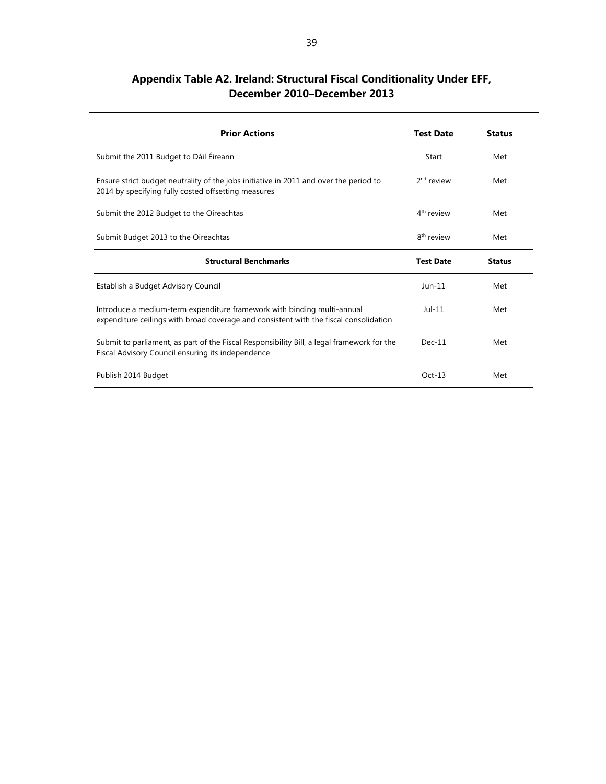| Appendix Table A2. Ireland: Structural Fiscal Conditionality Under EFF, |  |
|-------------------------------------------------------------------------|--|
| December 2010–December 2013                                             |  |

| <b>Prior Actions</b>                                                                                                                                             | <b>Test Date</b>       | <b>Status</b> |
|------------------------------------------------------------------------------------------------------------------------------------------------------------------|------------------------|---------------|
| Submit the 2011 Budget to Dáil Éireann                                                                                                                           | Start                  | Met           |
| Ensure strict budget neutrality of the jobs initiative in 2011 and over the period to<br>2014 by specifying fully costed offsetting measures                     | $2nd$ review           | Met           |
| Submit the 2012 Budget to the Oireachtas                                                                                                                         | $4th$ review           | Met           |
| Submit Budget 2013 to the Oireachtas                                                                                                                             | 8 <sup>th</sup> review | Met           |
| <b>Structural Benchmarks</b>                                                                                                                                     | <b>Test Date</b>       | <b>Status</b> |
| Establish a Budget Advisory Council                                                                                                                              | $J$ un-11              | Met           |
| Introduce a medium-term expenditure framework with binding multi-annual<br>expenditure ceilings with broad coverage and consistent with the fiscal consolidation | $Jul-11$               | Met           |
| Submit to parliament, as part of the Fiscal Responsibility Bill, a legal framework for the<br>Fiscal Advisory Council ensuring its independence                  | $Dec-11$               | Met           |
| Publish 2014 Budget                                                                                                                                              | $Oct-13$               | Met           |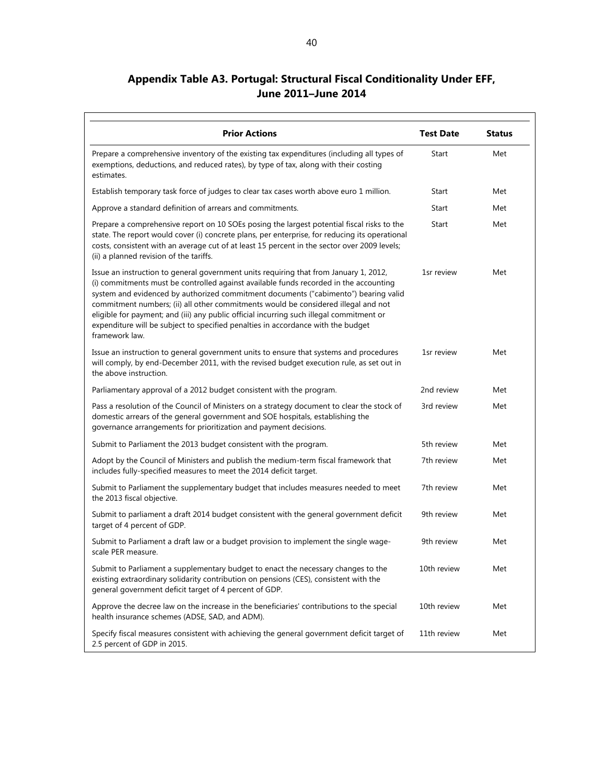# **Appendix Table A3. Portugal: Structural Fiscal Conditionality Under EFF, June 2011–June 2014**

 $\overline{1}$ 

Ť.

| <b>Prior Actions</b>                                                                                                                                                                                                                                                                                                                                                                                                                                                                                                                                          | <b>Test Date</b> | <b>Status</b> |
|---------------------------------------------------------------------------------------------------------------------------------------------------------------------------------------------------------------------------------------------------------------------------------------------------------------------------------------------------------------------------------------------------------------------------------------------------------------------------------------------------------------------------------------------------------------|------------------|---------------|
| Prepare a comprehensive inventory of the existing tax expenditures (including all types of<br>exemptions, deductions, and reduced rates), by type of tax, along with their costing<br>estimates.                                                                                                                                                                                                                                                                                                                                                              | Start            | Met           |
| Establish temporary task force of judges to clear tax cases worth above euro 1 million.                                                                                                                                                                                                                                                                                                                                                                                                                                                                       | Start            | Met           |
| Approve a standard definition of arrears and commitments.                                                                                                                                                                                                                                                                                                                                                                                                                                                                                                     | Start            | Met           |
| Prepare a comprehensive report on 10 SOEs posing the largest potential fiscal risks to the<br>state. The report would cover (i) concrete plans, per enterprise, for reducing its operational<br>costs, consistent with an average cut of at least 15 percent in the sector over 2009 levels;<br>(ii) a planned revision of the tariffs.                                                                                                                                                                                                                       | Start            | Met           |
| Issue an instruction to general government units requiring that from January 1, 2012,<br>(i) commitments must be controlled against available funds recorded in the accounting<br>system and evidenced by authorized commitment documents ("cabimento") bearing valid<br>commitment numbers; (ii) all other commitments would be considered illegal and not<br>eligible for payment; and (iii) any public official incurring such illegal commitment or<br>expenditure will be subject to specified penalties in accordance with the budget<br>framework law. | 1sr review       | Met           |
| Issue an instruction to general government units to ensure that systems and procedures<br>will comply, by end-December 2011, with the revised budget execution rule, as set out in<br>the above instruction.                                                                                                                                                                                                                                                                                                                                                  | 1sr review       | Met           |
| Parliamentary approval of a 2012 budget consistent with the program.                                                                                                                                                                                                                                                                                                                                                                                                                                                                                          | 2nd review       | Met           |
| Pass a resolution of the Council of Ministers on a strategy document to clear the stock of<br>domestic arrears of the general government and SOE hospitals, establishing the<br>governance arrangements for prioritization and payment decisions.                                                                                                                                                                                                                                                                                                             | 3rd review       | Met           |
| Submit to Parliament the 2013 budget consistent with the program.                                                                                                                                                                                                                                                                                                                                                                                                                                                                                             | 5th review       | Met           |
| Adopt by the Council of Ministers and publish the medium-term fiscal framework that<br>includes fully-specified measures to meet the 2014 deficit target.                                                                                                                                                                                                                                                                                                                                                                                                     | 7th review       | Met           |
| Submit to Parliament the supplementary budget that includes measures needed to meet<br>the 2013 fiscal objective.                                                                                                                                                                                                                                                                                                                                                                                                                                             | 7th review       | Met           |
| Submit to parliament a draft 2014 budget consistent with the general government deficit<br>target of 4 percent of GDP.                                                                                                                                                                                                                                                                                                                                                                                                                                        | 9th review       | Met           |
| Submit to Parliament a draft law or a budget provision to implement the single wage-<br>scale PER measure.                                                                                                                                                                                                                                                                                                                                                                                                                                                    | 9th review       | Met           |
| Submit to Parliament a supplementary budget to enact the necessary changes to the<br>existing extraordinary solidarity contribution on pensions (CES), consistent with the<br>general government deficit target of 4 percent of GDP.                                                                                                                                                                                                                                                                                                                          | 10th review      | Met           |
| Approve the decree law on the increase in the beneficiaries' contributions to the special<br>health insurance schemes (ADSE, SAD, and ADM).                                                                                                                                                                                                                                                                                                                                                                                                                   | 10th review      | Met           |
| Specify fiscal measures consistent with achieving the general government deficit target of<br>2.5 percent of GDP in 2015.                                                                                                                                                                                                                                                                                                                                                                                                                                     | 11th review      | Met           |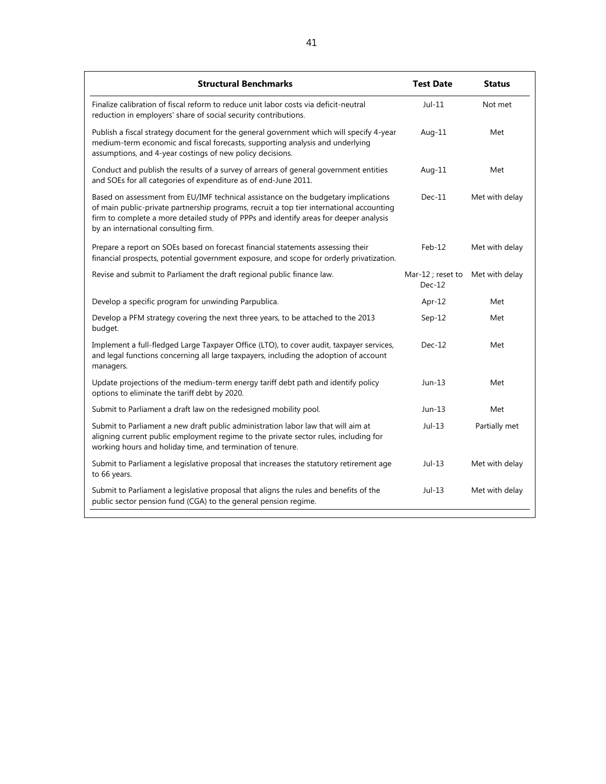| <b>Structural Benchmarks</b>                                                                                                                                                                                                                                                                                    | <b>Test Date</b>              | <b>Status</b>  |
|-----------------------------------------------------------------------------------------------------------------------------------------------------------------------------------------------------------------------------------------------------------------------------------------------------------------|-------------------------------|----------------|
| Finalize calibration of fiscal reform to reduce unit labor costs via deficit-neutral<br>reduction in employers' share of social security contributions.                                                                                                                                                         | $Jul-11$                      | Not met        |
| Publish a fiscal strategy document for the general government which will specify 4-year<br>medium-term economic and fiscal forecasts, supporting analysis and underlying<br>assumptions, and 4-year costings of new policy decisions.                                                                           | Aug-11                        | Met            |
| Conduct and publish the results of a survey of arrears of general government entities<br>and SOEs for all categories of expenditure as of end-June 2011.                                                                                                                                                        | Aug-11                        | Met            |
| Based on assessment from EU/IMF technical assistance on the budgetary implications<br>of main public-private partnership programs, recruit a top tier international accounting<br>firm to complete a more detailed study of PPPs and identify areas for deeper analysis<br>by an international consulting firm. | $Dec-11$                      | Met with delay |
| Prepare a report on SOEs based on forecast financial statements assessing their<br>financial prospects, potential government exposure, and scope for orderly privatization.                                                                                                                                     | $Feb-12$                      | Met with delay |
| Revise and submit to Parliament the draft regional public finance law.                                                                                                                                                                                                                                          | Mar-12 ; reset to<br>$Dec-12$ | Met with delay |
| Develop a specific program for unwinding Parpublica.                                                                                                                                                                                                                                                            | Apr- $12$                     | Met            |
| Develop a PFM strategy covering the next three years, to be attached to the 2013<br>budget.                                                                                                                                                                                                                     | $Sep-12$                      | Met            |
| Implement a full-fledged Large Taxpayer Office (LTO), to cover audit, taxpayer services,<br>and legal functions concerning all large taxpayers, including the adoption of account<br>managers.                                                                                                                  | $Dec-12$                      | Met            |
| Update projections of the medium-term energy tariff debt path and identify policy<br>options to eliminate the tariff debt by 2020.                                                                                                                                                                              | $Jun-13$                      | Met            |
| Submit to Parliament a draft law on the redesigned mobility pool.                                                                                                                                                                                                                                               | Jun-13                        | Met            |
| Submit to Parliament a new draft public administration labor law that will aim at<br>aligning current public employment regime to the private sector rules, including for<br>working hours and holiday time, and termination of tenure.                                                                         | $Jul-13$                      | Partially met  |
| Submit to Parliament a legislative proposal that increases the statutory retirement age<br>to 66 years.                                                                                                                                                                                                         | $Jul-13$                      | Met with delay |
| Submit to Parliament a legislative proposal that aligns the rules and benefits of the<br>public sector pension fund (CGA) to the general pension regime.                                                                                                                                                        | $Jul-13$                      | Met with delay |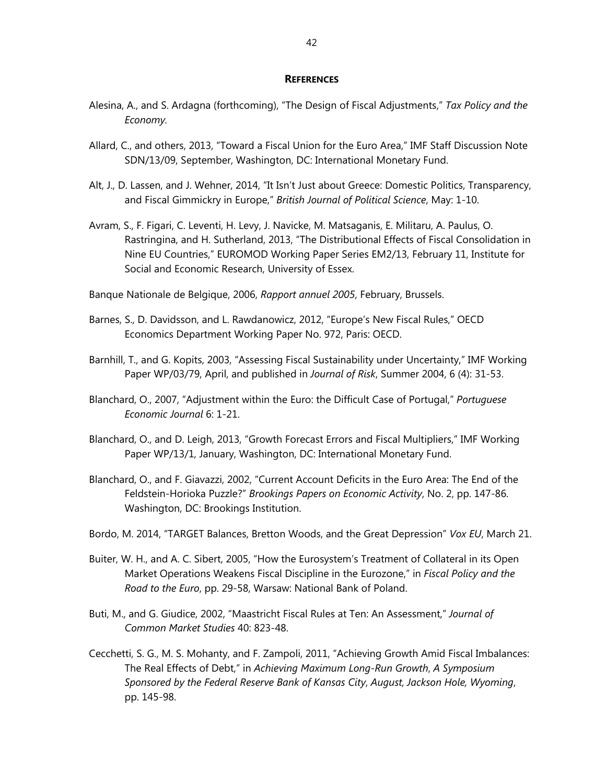#### **REFERENCES**

- Alesina, A., and S. Ardagna (forthcoming), "The Design of Fiscal Adjustments," *Tax Policy and the Economy.*
- Allard, C., and others, 2013, "Toward a Fiscal Union for the Euro Area," IMF Staff Discussion Note SDN/13/09, September, Washington, DC: International Monetary Fund.
- Alt, J., D. Lassen, and J. Wehner, 2014, "It Isn't Just about Greece: Domestic Politics, Transparency, and Fiscal Gimmickry in Europe," *British Journal of Political Science*, May: 1-10.
- Avram, S., F. Figari, C. Leventi, H. Levy, J. Navicke, M. Matsaganis, E. Militaru, A. Paulus, O. Rastringina, and H. Sutherland, 2013, "The Distributional Effects of Fiscal Consolidation in Nine EU Countries," EUROMOD Working Paper Series EM2/13, February 11, Institute for Social and Economic Research, University of Essex.
- Banque Nationale de Belgique, 2006, *Rapport annuel 2005*, February, Brussels.
- Barnes, S., D. Davidsson, and L. Rawdanowicz, 2012, "Europe's New Fiscal Rules," OECD Economics Department Working Paper No. 972, Paris: OECD.
- Barnhill, T., and G. Kopits, 2003, "Assessing Fiscal Sustainability under Uncertainty," IMF Working Paper WP/03/79, April, and published in *Journal of Risk*, Summer 2004, 6 (4): 31-53.
- Blanchard, O., 2007, "Adjustment within the Euro: the Difficult Case of Portugal," *Portuguese Economic Journal* 6: 1-21.
- Blanchard, O., and D. Leigh, 2013, "Growth Forecast Errors and Fiscal Multipliers," IMF Working Paper WP/13/1, January, Washington, DC: International Monetary Fund.
- Blanchard, O., and F. Giavazzi, 2002, "Current Account Deficits in the Euro Area: The End of the Feldstein-Horioka Puzzle?" *Brookings Papers on Economic Activity*, No. 2, pp. 147-86. Washington, DC: Brookings Institution.
- Bordo, M. 2014, "TARGET Balances, Bretton Woods, and the Great Depression" *Vox EU*, March 21.
- Buiter, W. H., and A. C. Sibert, 2005, "How the Eurosystem's Treatment of Collateral in its Open Market Operations Weakens Fiscal Discipline in the Eurozone," in *Fiscal Policy and the Road to the Euro*, pp. 29-58, Warsaw: National Bank of Poland.
- Buti, M., and G. Giudice, 2002, "Maastricht Fiscal Rules at Ten: An Assessment," *Journal of Common Market Studies* 40: 823-48.
- Cecchetti, S. G., M. S. Mohanty, and F. Zampoli, 2011, "Achieving Growth Amid Fiscal Imbalances: The Real Effects of Debt," in *Achieving Maximum Long-Run Growth*, *A Symposium Sponsored by the Federal Reserve Bank of Kansas City*, *August, Jackson Hole, Wyoming*, pp. 145-98.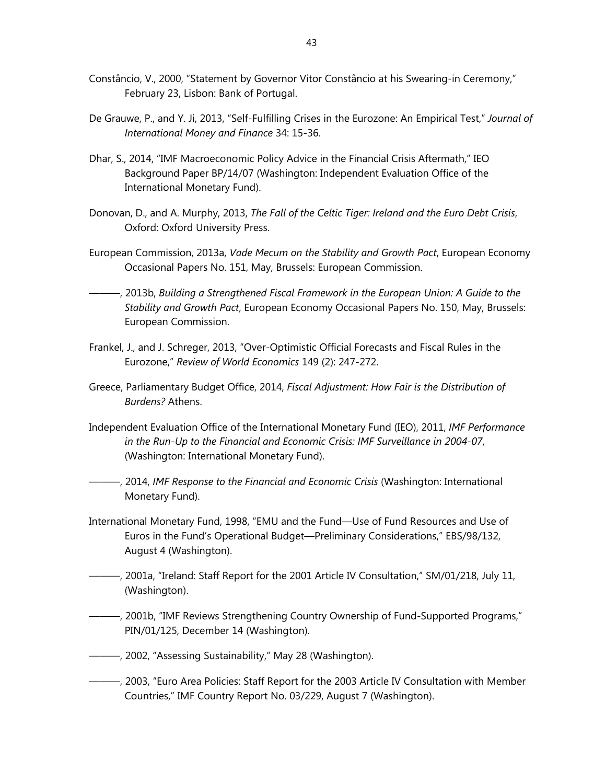- Constâncio, V., 2000, "Statement by Governor Vitor Constâncio at his Swearing-in Ceremony," February 23, Lisbon: Bank of Portugal.
- De Grauwe, P., and Y. Ji, 2013, "Self-Fulfilling Crises in the Eurozone: An Empirical Test," *Journal of International Money and Finance* 34: 15-36.
- Dhar, S., 2014, "IMF Macroeconomic Policy Advice in the Financial Crisis Aftermath," IEO Background Paper BP/14/07 (Washington: Independent Evaluation Office of the International Monetary Fund).
- Donovan, D., and A. Murphy, 2013, *The Fall of the Celtic Tiger: Ireland and the Euro Debt Crisis*, Oxford: Oxford University Press.
- European Commission, 2013a, *Vade Mecum on the Stability and Growth Pact*, European Economy Occasional Papers No. 151, May, Brussels: European Commission.
- ———, 2013b, *Building a Strengthened Fiscal Framework in the European Union: A Guide to the Stability and Growth Pact*, European Economy Occasional Papers No. 150, May, Brussels: European Commission.
- Frankel, J., and J. Schreger, 2013, "Over-Optimistic Official Forecasts and Fiscal Rules in the Eurozone," *Review of World Economics* 149 (2): 247-272.
- Greece, Parliamentary Budget Office, 2014, *Fiscal Adjustment: How Fair is the Distribution of Burdens?* Athens.
- Independent Evaluation Office of the International Monetary Fund (IEO), 2011, *IMF Performance in the Run-Up to the Financial and Economic Crisis: IMF Surveillance in 2004-07*, (Washington: International Monetary Fund).
	- ———, 2014, *IMF Response to the Financial and Economic Crisis* (Washington: International Monetary Fund).
- International Monetary Fund, 1998, "EMU and the Fund—Use of Fund Resources and Use of Euros in the Fund's Operational Budget—Preliminary Considerations," EBS/98/132, August 4 (Washington).
- ———, 2001a, "Ireland: Staff Report for the 2001 Article IV Consultation," SM/01/218, July 11, (Washington).
- ———, 2001b, "IMF Reviews Strengthening Country Ownership of Fund-Supported Programs," PIN/01/125, December 14 (Washington).
- ———, 2002, "Assessing Sustainability," May 28 (Washington).
- ———, 2003, "Euro Area Policies: Staff Report for the 2003 Article IV Consultation with Member Countries," IMF Country Report No. 03/229, August 7 (Washington).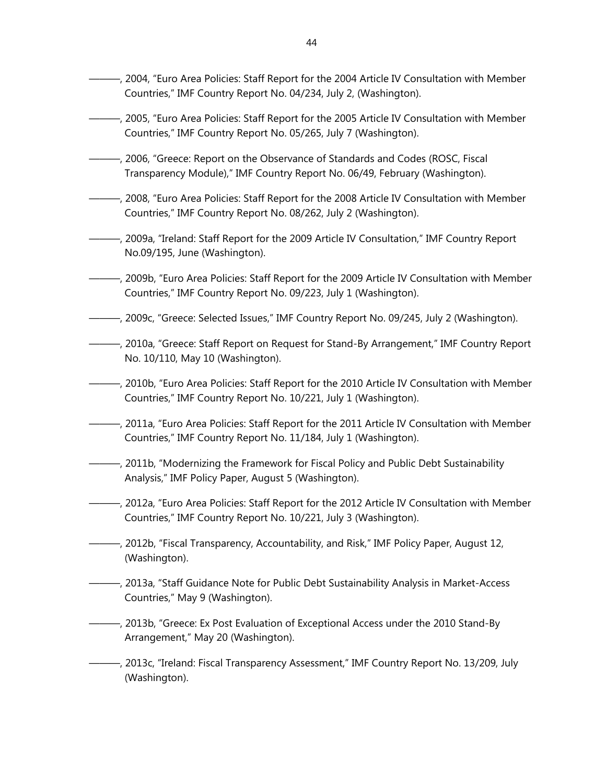- ———, 2004, "Euro Area Policies: Staff Report for the 2004 Article IV Consultation with Member Countries," IMF Country Report No. 04/234, July 2, (Washington).
- ———, 2005, "Euro Area Policies: Staff Report for the 2005 Article IV Consultation with Member Countries," IMF Country Report No. 05/265, July 7 (Washington).
- ———, 2006, "Greece: Report on the Observance of Standards and Codes (ROSC, Fiscal Transparency Module)," IMF Country Report No. 06/49, February (Washington).
- ———, 2008, "Euro Area Policies: Staff Report for the 2008 Article IV Consultation with Member Countries," IMF Country Report No. 08/262, July 2 (Washington).
- ———, 2009a, "Ireland: Staff Report for the 2009 Article IV Consultation," IMF Country Report No.09/195, June (Washington).
- ———, 2009b, "Euro Area Policies: Staff Report for the 2009 Article IV Consultation with Member Countries," IMF Country Report No. 09/223, July 1 (Washington).
- ———, 2009c, "Greece: Selected Issues," IMF Country Report No. 09/245, July 2 (Washington).
- ———, 2010a, "Greece: Staff Report on Request for Stand-By Arrangement," IMF Country Report No. 10/110, May 10 (Washington).
- ———, 2010b, "Euro Area Policies: Staff Report for the 2010 Article IV Consultation with Member Countries," IMF Country Report No. 10/221, July 1 (Washington).
- ———, 2011a, "Euro Area Policies: Staff Report for the 2011 Article IV Consultation with Member Countries," IMF Country Report No. 11/184, July 1 (Washington).
- ———, 2011b, "Modernizing the Framework for Fiscal Policy and Public Debt Sustainability Analysis," IMF Policy Paper, August 5 (Washington).
- ———, 2012a, "Euro Area Policies: Staff Report for the 2012 Article IV Consultation with Member Countries," IMF Country Report No. 10/221, July 3 (Washington).
- ———, 2012b, "Fiscal Transparency, Accountability, and Risk," IMF Policy Paper, August 12, (Washington).
- ———, 2013a, "Staff Guidance Note for Public Debt Sustainability Analysis in Market-Access Countries," May 9 (Washington).
- ———, 2013b, "Greece: Ex Post Evaluation of Exceptional Access under the 2010 Stand-By Arrangement," May 20 (Washington).
- ———, 2013c, "Ireland: Fiscal Transparency Assessment," IMF Country Report No. 13/209, July (Washington).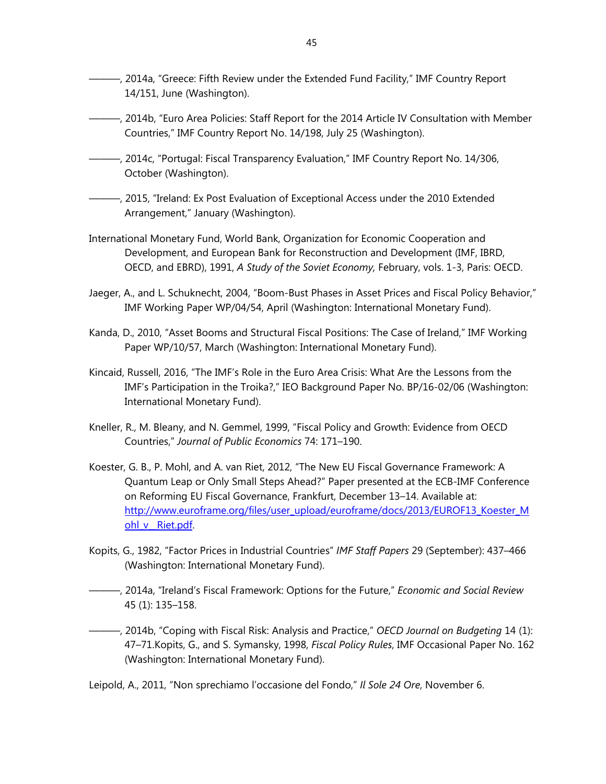- ———, 2014a, "Greece: Fifth Review under the Extended Fund Facility," IMF Country Report 14/151, June (Washington).
- ———, 2014b, "Euro Area Policies: Staff Report for the 2014 Article IV Consultation with Member Countries," IMF Country Report No. 14/198, July 25 (Washington).
- ———, 2014c, "Portugal: Fiscal Transparency Evaluation," IMF Country Report No. 14/306, October (Washington).
- ———, 2015, "Ireland: Ex Post Evaluation of Exceptional Access under the 2010 Extended Arrangement," January (Washington).
- International Monetary Fund, World Bank, Organization for Economic Cooperation and Development, and European Bank for Reconstruction and Development (IMF, IBRD, OECD, and EBRD), 1991, *A Study of the Soviet Economy,* February, vols. 1-3, Paris: OECD.
- Jaeger, A., and L. Schuknecht, 2004, "Boom-Bust Phases in Asset Prices and Fiscal Policy Behavior," IMF Working Paper WP/04/54, April (Washington: International Monetary Fund).
- Kanda, D., 2010, "Asset Booms and Structural Fiscal Positions: The Case of Ireland," IMF Working Paper WP/10/57, March (Washington: International Monetary Fund).
- Kincaid, Russell, 2016, "The IMF's Role in the Euro Area Crisis: What Are the Lessons from the IMF's Participation in the Troika?," IEO Background Paper No. BP/16-02/06 (Washington: International Monetary Fund).
- Kneller, R., M. Bleany, and N. Gemmel, 1999, "Fiscal Policy and Growth: Evidence from OECD Countries," *Journal of Public Economics* 74: 171–190.
- Koester, G. B., P. Mohl, and A. van Riet, 2012, "The New EU Fiscal Governance Framework: A Quantum Leap or Only Small Steps Ahead?" Paper presented at the ECB-IMF Conference on Reforming EU Fiscal Governance, Frankfurt, December 13–14. Available at: http://www.euroframe.org/files/user\_upload/euroframe/docs/2013/EUROF13\_Koester\_M ohl v Riet.pdf.
- Kopits, G., 1982, "Factor Prices in Industrial Countries" *IMF Staff Papers* 29 (September): 437–466 (Washington: International Monetary Fund).
- ———, 2014a, "Ireland's Fiscal Framework: Options for the Future," *Economic and Social Review* 45 (1): 135–158.
- ———, 2014b, "Coping with Fiscal Risk: Analysis and Practice," *OECD Journal on Budgeting* 14 (1): 47–71.Kopits, G., and S. Symansky, 1998, *Fiscal Policy Rules*, IMF Occasional Paper No. 162 (Washington: International Monetary Fund).

Leipold, A., 2011, "Non sprechiamo l'occasione del Fondo," *Il Sole 24 Ore*, November 6.